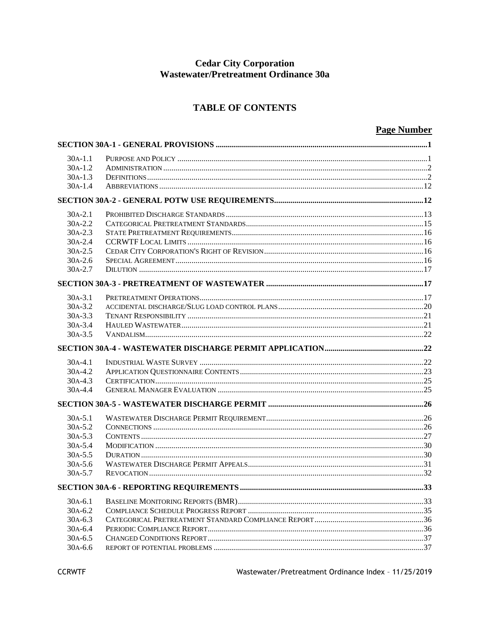# **Cedar City Corporation<br>Wastewater/Pretreatment Ordinance 30a**

# **TABLE OF CONTENTS**

# **Page Number**

| $30A-1.1$                |  |  |  |  |
|--------------------------|--|--|--|--|
| $30A-1.2$                |  |  |  |  |
| $30A-1.3$                |  |  |  |  |
| $30A-1.4$                |  |  |  |  |
|                          |  |  |  |  |
| $30A-2.1$                |  |  |  |  |
| $30A - 2.2$              |  |  |  |  |
| $30A - 2.3$              |  |  |  |  |
| 30A-2.4                  |  |  |  |  |
| $30A - 2.5$              |  |  |  |  |
| $30A - 2.6$              |  |  |  |  |
| $30A - 2.7$              |  |  |  |  |
|                          |  |  |  |  |
| $30A-3.1$                |  |  |  |  |
| $30A-3.2$                |  |  |  |  |
| $30A - 3.3$              |  |  |  |  |
| $30A-3.4$                |  |  |  |  |
| $30A-3.5$                |  |  |  |  |
|                          |  |  |  |  |
| $30A-4.1$                |  |  |  |  |
| $30A-4.2$                |  |  |  |  |
| $30A-4.3$                |  |  |  |  |
| $30A-4.4$                |  |  |  |  |
|                          |  |  |  |  |
| $30A - 5.1$              |  |  |  |  |
| $30A - 5.2$              |  |  |  |  |
| $30A - 5.3$              |  |  |  |  |
| $30A - 5.4$              |  |  |  |  |
| $30A - 5.5$              |  |  |  |  |
| $30A-5.6$                |  |  |  |  |
| $30A - 5.7$              |  |  |  |  |
|                          |  |  |  |  |
| $30A-6.1$                |  |  |  |  |
| $30A-6.2$                |  |  |  |  |
| $30A-6.3$                |  |  |  |  |
| $30A - 6.4$              |  |  |  |  |
|                          |  |  |  |  |
| $30A-6.5$<br>$30A - 6.6$ |  |  |  |  |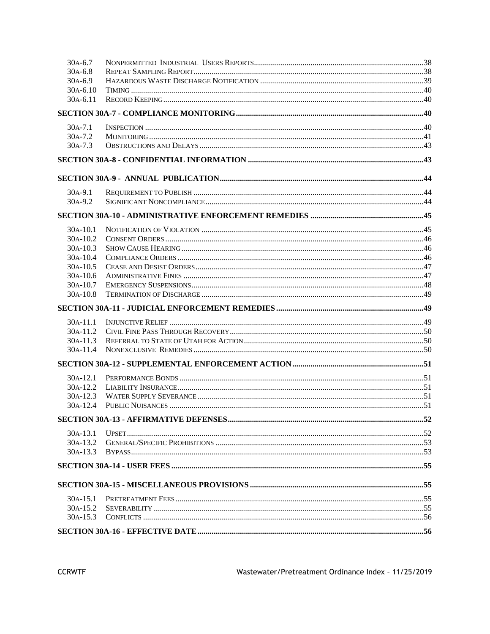| $30A-6.7$   |  |  |  |  |  |
|-------------|--|--|--|--|--|
| $30A-6.8$   |  |  |  |  |  |
| $30A-6.9$   |  |  |  |  |  |
| $30A-6.10$  |  |  |  |  |  |
| 30A-6.11    |  |  |  |  |  |
|             |  |  |  |  |  |
| $30A - 7.1$ |  |  |  |  |  |
| $30A - 7.2$ |  |  |  |  |  |
| $30A - 7.3$ |  |  |  |  |  |
|             |  |  |  |  |  |
|             |  |  |  |  |  |
| $30A-9.1$   |  |  |  |  |  |
| 30A-9.2     |  |  |  |  |  |
|             |  |  |  |  |  |
| $30A-10.1$  |  |  |  |  |  |
| $30A-10.2$  |  |  |  |  |  |
| 30A-10.3    |  |  |  |  |  |
| $30A-10.4$  |  |  |  |  |  |
| 30A-10.5    |  |  |  |  |  |
| $30A-10.6$  |  |  |  |  |  |
| $30A-10.7$  |  |  |  |  |  |
| $30A-10.8$  |  |  |  |  |  |
|             |  |  |  |  |  |
| $30A-11.1$  |  |  |  |  |  |
| 30A-11.2    |  |  |  |  |  |
| 30A-11.3    |  |  |  |  |  |
| 30A-11.4    |  |  |  |  |  |
|             |  |  |  |  |  |
| $30A-12.1$  |  |  |  |  |  |
| 30A-12.2    |  |  |  |  |  |
| $30A-12.3$  |  |  |  |  |  |
| $30A-12.4$  |  |  |  |  |  |
|             |  |  |  |  |  |
| $30A-13.1$  |  |  |  |  |  |
| $30A-13.2$  |  |  |  |  |  |
| $30A-13.3$  |  |  |  |  |  |
|             |  |  |  |  |  |
|             |  |  |  |  |  |
| $30A-15.1$  |  |  |  |  |  |
| $30A-15.2$  |  |  |  |  |  |
| 30A-15.3    |  |  |  |  |  |
|             |  |  |  |  |  |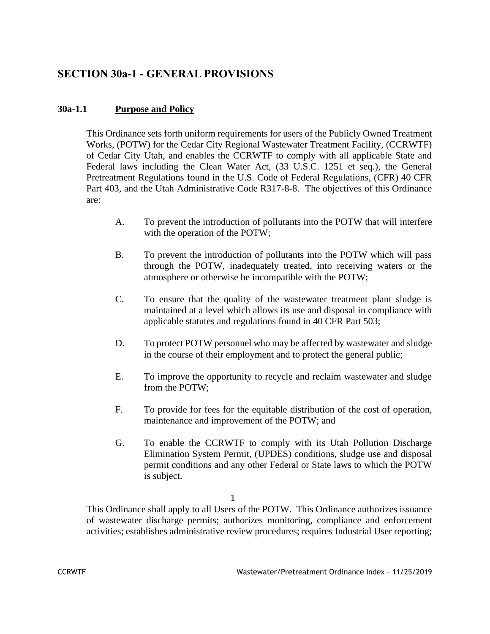# **SECTION 30a-1 - GENERAL PROVISIONS**

# **30a-1.1 Purpose and Policy**

This Ordinance sets forth uniform requirements for users of the Publicly Owned Treatment Works, (POTW) for the Cedar City Regional Wastewater Treatment Facility, (CCRWTF) of Cedar City Utah, and enables the CCRWTF to comply with all applicable State and Federal laws including the Clean Water Act, (33 U.S.C. 1251 et seq.), the General Pretreatment Regulations found in the U.S. Code of Federal Regulations, (CFR) 40 CFR Part 403, and the Utah Administrative Code R317-8-8. The objectives of this Ordinance are:

- A. To prevent the introduction of pollutants into the POTW that will interfere with the operation of the POTW;
- B. To prevent the introduction of pollutants into the POTW which will pass through the POTW, inadequately treated, into receiving waters or the atmosphere or otherwise be incompatible with the POTW;
- C. To ensure that the quality of the wastewater treatment plant sludge is maintained at a level which allows its use and disposal in compliance with applicable statutes and regulations found in 40 CFR Part 503;
- D. To protect POTW personnel who may be affected by wastewater and sludge in the course of their employment and to protect the general public;
- E. To improve the opportunity to recycle and reclaim wastewater and sludge from the POTW;
- F. To provide for fees for the equitable distribution of the cost of operation, maintenance and improvement of the POTW; and
- G. To enable the CCRWTF to comply with its Utah Pollution Discharge Elimination System Permit, (UPDES) conditions, sludge use and disposal permit conditions and any other Federal or State laws to which the POTW is subject.

#### 1

This Ordinance shall apply to all Users of the POTW. This Ordinance authorizes issuance of wastewater discharge permits; authorizes monitoring, compliance and enforcement activities; establishes administrative review procedures; requires Industrial User reporting;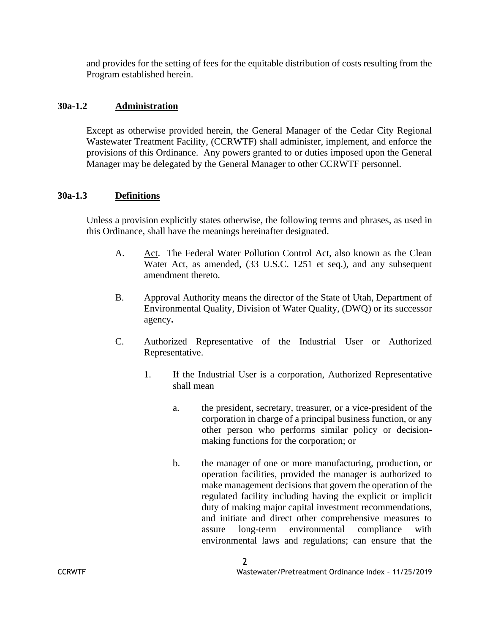and provides for the setting of fees for the equitable distribution of costs resulting from the Program established herein.

## **30a-1.2 Administration**

Except as otherwise provided herein, the General Manager of the Cedar City Regional Wastewater Treatment Facility, (CCRWTF) shall administer, implement, and enforce the provisions of this Ordinance. Any powers granted to or duties imposed upon the General Manager may be delegated by the General Manager to other CCRWTF personnel.

# **30a-1.3 Definitions**

Unless a provision explicitly states otherwise, the following terms and phrases, as used in this Ordinance, shall have the meanings hereinafter designated.

- A. Act. The Federal Water Pollution Control Act, also known as the Clean Water Act, as amended, (33 U.S.C. 1251 et seq.), and any subsequent amendment thereto.
- B. Approval Authority means the director of the State of Utah, Department of Environmental Quality, Division of Water Quality, (DWQ) or its successor agency**.**
- C. Authorized Representative of the Industrial User or Authorized Representative.
	- 1. If the Industrial User is a corporation, Authorized Representative shall mean
		- a. the president, secretary, treasurer, or a vice-president of the corporation in charge of a principal business function, or any other person who performs similar policy or decisionmaking functions for the corporation; or
		- b. the manager of one or more manufacturing, production, or operation facilities, provided the manager is authorized to make management decisions that govern the operation of the regulated facility including having the explicit or implicit duty of making major capital investment recommendations, and initiate and direct other comprehensive measures to assure long-term environmental compliance with environmental laws and regulations; can ensure that the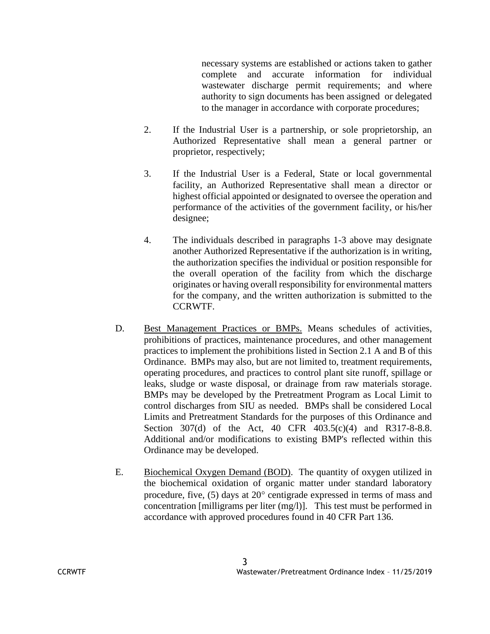necessary systems are established or actions taken to gather complete and accurate information for individual wastewater discharge permit requirements; and where authority to sign documents has been assigned or delegated to the manager in accordance with corporate procedures;

- 2. If the Industrial User is a partnership, or sole proprietorship, an Authorized Representative shall mean a general partner or proprietor, respectively;
- 3. If the Industrial User is a Federal, State or local governmental facility, an Authorized Representative shall mean a director or highest official appointed or designated to oversee the operation and performance of the activities of the government facility, or his/her designee;
- 4. The individuals described in paragraphs 1-3 above may designate another Authorized Representative if the authorization is in writing, the authorization specifies the individual or position responsible for the overall operation of the facility from which the discharge originates or having overall responsibility for environmental matters for the company, and the written authorization is submitted to the CCRWTF.
- D. Best Management Practices or BMPs. Means schedules of activities, prohibitions of practices, maintenance procedures, and other management practices to implement the prohibitions listed in Section 2.1 A and B of this Ordinance. BMPs may also, but are not limited to, treatment requirements, operating procedures, and practices to control plant site runoff, spillage or leaks, sludge or waste disposal, or drainage from raw materials storage. BMPs may be developed by the Pretreatment Program as Local Limit to control discharges from SIU as needed. BMPs shall be considered Local Limits and Pretreatment Standards for the purposes of this Ordinance and Section 307(d) of the Act, 40 CFR 403.5(c)(4) and R317-8-8.8. Additional and/or modifications to existing BMP's reflected within this Ordinance may be developed.
- E. Biochemical Oxygen Demand (BOD). The quantity of oxygen utilized in the biochemical oxidation of organic matter under standard laboratory procedure, five,  $(5)$  days at  $20^{\circ}$  centigrade expressed in terms of mass and concentration [milligrams per liter (mg/l)]. This test must be performed in accordance with approved procedures found in 40 CFR Part 136.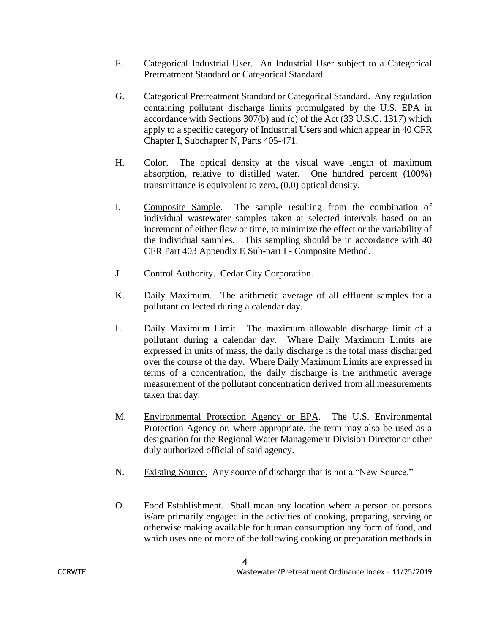- F. Categorical Industrial User. An Industrial User subject to a Categorical Pretreatment Standard or Categorical Standard.
- G. Categorical Pretreatment Standard or Categorical Standard. Any regulation containing pollutant discharge limits promulgated by the U.S. EPA in accordance with Sections 307(b) and (c) of the Act (33 U.S.C. 1317) which apply to a specific category of Industrial Users and which appear in 40 CFR Chapter I, Subchapter N, Parts 405-471.
- H. Color. The optical density at the visual wave length of maximum absorption, relative to distilled water. One hundred percent (100%) transmittance is equivalent to zero, (0.0) optical density.
- I. Composite Sample. The sample resulting from the combination of individual wastewater samples taken at selected intervals based on an increment of either flow or time, to minimize the effect or the variability of the individual samples. This sampling should be in accordance with 40 CFR Part 403 Appendix E Sub-part I - Composite Method.
- J. Control Authority. Cedar City Corporation.
- K. Daily Maximum. The arithmetic average of all effluent samples for a pollutant collected during a calendar day.
- L. Daily Maximum Limit. The maximum allowable discharge limit of a pollutant during a calendar day. Where Daily Maximum Limits are expressed in units of mass, the daily discharge is the total mass discharged over the course of the day. Where Daily Maximum Limits are expressed in terms of a concentration, the daily discharge is the arithmetic average measurement of the pollutant concentration derived from all measurements taken that day.
- M. Environmental Protection Agency or EPA. The U.S. Environmental Protection Agency or, where appropriate, the term may also be used as a designation for the Regional Water Management Division Director or other duly authorized official of said agency.
- N. Existing Source. Any source of discharge that is not a "New Source."
- O. Food Establishment. Shall mean any location where a person or persons is/are primarily engaged in the activities of cooking, preparing, serving or otherwise making available for human consumption any form of food, and which uses one or more of the following cooking or preparation methods in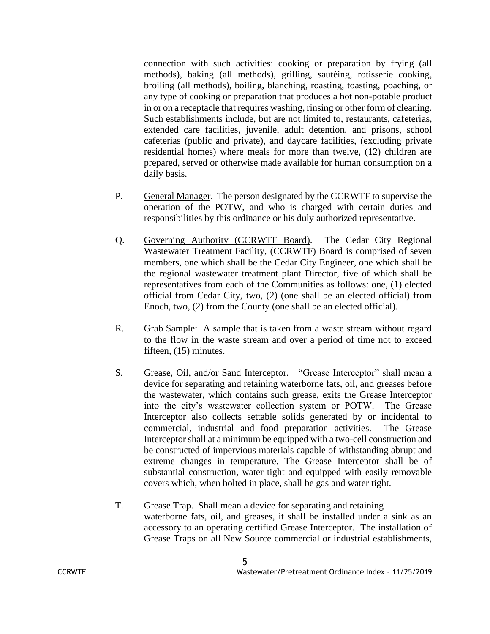connection with such activities: cooking or preparation by frying (all methods), baking (all methods), grilling, sautéing, rotisserie cooking, broiling (all methods), boiling, blanching, roasting, toasting, poaching, or any type of cooking or preparation that produces a hot non-potable product in or on a receptacle that requires washing, rinsing or other form of cleaning. Such establishments include, but are not limited to, restaurants, cafeterias, extended care facilities, juvenile, adult detention, and prisons, school cafeterias (public and private), and daycare facilities, (excluding private residential homes) where meals for more than twelve, (12) children are prepared, served or otherwise made available for human consumption on a daily basis.

- P. General Manager. The person designated by the CCRWTF to supervise the operation of the POTW, and who is charged with certain duties and responsibilities by this ordinance or his duly authorized representative.
- Q. Governing Authority (CCRWTF Board). The Cedar City Regional Wastewater Treatment Facility, (CCRWTF) Board is comprised of seven members, one which shall be the Cedar City Engineer, one which shall be the regional wastewater treatment plant Director, five of which shall be representatives from each of the Communities as follows: one, (1) elected official from Cedar City, two, (2) (one shall be an elected official) from Enoch, two, (2) from the County (one shall be an elected official).
- R. Grab Sample: A sample that is taken from a waste stream without regard to the flow in the waste stream and over a period of time not to exceed fifteen, (15) minutes.
- S. Grease, Oil, and/or Sand Interceptor. "Grease Interceptor" shall mean a device for separating and retaining waterborne fats, oil, and greases before the wastewater, which contains such grease, exits the Grease Interceptor into the city's wastewater collection system or POTW. The Grease Interceptor also collects settable solids generated by or incidental to commercial, industrial and food preparation activities. The Grease Interceptor shall at a minimum be equipped with a two-cell construction and be constructed of impervious materials capable of withstanding abrupt and extreme changes in temperature. The Grease Interceptor shall be of substantial construction, water tight and equipped with easily removable covers which, when bolted in place, shall be gas and water tight.
- T. Grease Trap. Shall mean a device for separating and retaining waterborne fats, oil, and greases, it shall be installed under a sink as an accessory to an operating certified Grease Interceptor. The installation of Grease Traps on all New Source commercial or industrial establishments,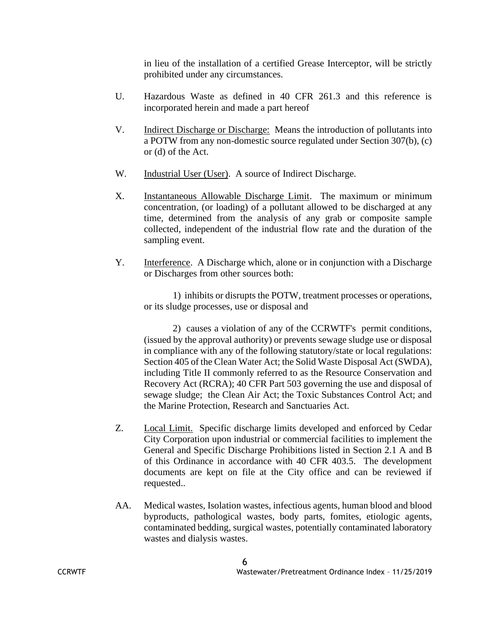in lieu of the installation of a certified Grease Interceptor, will be strictly prohibited under any circumstances.

- U. Hazardous Waste as defined in 40 CFR 261.3 and this reference is incorporated herein and made a part hereof
- V. Indirect Discharge or Discharge: Means the introduction of pollutants into a POTW from any non-domestic source regulated under Section 307(b), (c) or (d) of the Act.
- W. Industrial User (User). A source of Indirect Discharge.
- X. Instantaneous Allowable Discharge Limit. The maximum or minimum concentration, (or loading) of a pollutant allowed to be discharged at any time, determined from the analysis of any grab or composite sample collected, independent of the industrial flow rate and the duration of the sampling event.
- Y. Interference. A Discharge which, alone or in conjunction with a Discharge or Discharges from other sources both:

1) inhibits or disrupts the POTW, treatment processes or operations, or its sludge processes, use or disposal and

2) causes a violation of any of the CCRWTF's permit conditions, (issued by the approval authority) or prevents sewage sludge use or disposal in compliance with any of the following statutory/state or local regulations: Section 405 of the Clean Water Act; the Solid Waste Disposal Act (SWDA), including Title II commonly referred to as the Resource Conservation and Recovery Act (RCRA); 40 CFR Part 503 governing the use and disposal of sewage sludge; the Clean Air Act; the Toxic Substances Control Act; and the Marine Protection, Research and Sanctuaries Act.

- Z. Local Limit. Specific discharge limits developed and enforced by Cedar City Corporation upon industrial or commercial facilities to implement the General and Specific Discharge Prohibitions listed in Section 2.1 A and B of this Ordinance in accordance with 40 CFR 403.5. The development documents are kept on file at the City office and can be reviewed if requested..
- AA. Medical wastes, Isolation wastes, infectious agents, human blood and blood byproducts, pathological wastes, body parts, fomites, etiologic agents, contaminated bedding, surgical wastes, potentially contaminated laboratory wastes and dialysis wastes.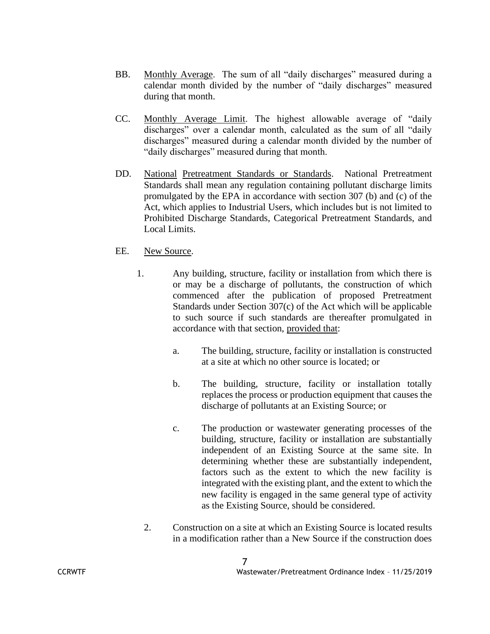- BB. Monthly Average. The sum of all "daily discharges" measured during a calendar month divided by the number of "daily discharges" measured during that month.
- CC. Monthly Average Limit. The highest allowable average of "daily discharges" over a calendar month, calculated as the sum of all "daily discharges" measured during a calendar month divided by the number of "daily discharges" measured during that month.
- DD. National Pretreatment Standards or Standards. National Pretreatment Standards shall mean any regulation containing pollutant discharge limits promulgated by the EPA in accordance with section 307 (b) and (c) of the Act, which applies to Industrial Users, which includes but is not limited to Prohibited Discharge Standards, Categorical Pretreatment Standards, and Local Limits.

#### EE. New Source.

- 1. Any building, structure, facility or installation from which there is or may be a discharge of pollutants, the construction of which commenced after the publication of proposed Pretreatment Standards under Section 307(c) of the Act which will be applicable to such source if such standards are thereafter promulgated in accordance with that section, provided that:
	- a. The building, structure, facility or installation is constructed at a site at which no other source is located; or
	- b. The building, structure, facility or installation totally replaces the process or production equipment that causes the discharge of pollutants at an Existing Source; or
	- c. The production or wastewater generating processes of the building, structure, facility or installation are substantially independent of an Existing Source at the same site. In determining whether these are substantially independent, factors such as the extent to which the new facility is integrated with the existing plant, and the extent to which the new facility is engaged in the same general type of activity as the Existing Source, should be considered.
	- 2. Construction on a site at which an Existing Source is located results in a modification rather than a New Source if the construction does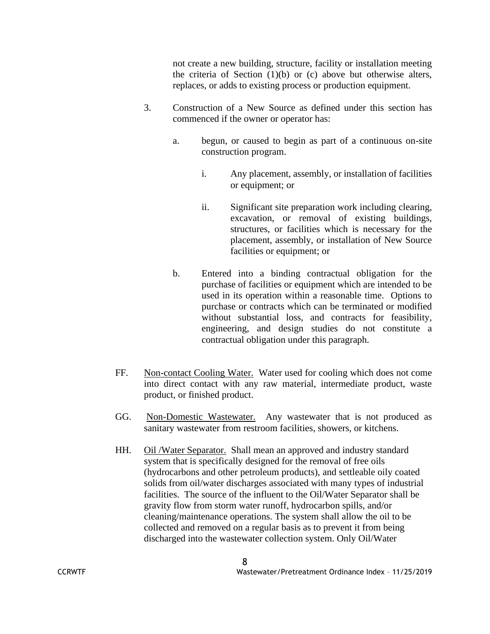not create a new building, structure, facility or installation meeting the criteria of Section  $(1)(b)$  or  $(c)$  above but otherwise alters, replaces, or adds to existing process or production equipment.

- 3. Construction of a New Source as defined under this section has commenced if the owner or operator has:
	- a. begun, or caused to begin as part of a continuous on-site construction program.
		- i. Any placement, assembly, or installation of facilities or equipment; or
		- ii. Significant site preparation work including clearing, excavation, or removal of existing buildings, structures, or facilities which is necessary for the placement, assembly, or installation of New Source facilities or equipment; or
	- b. Entered into a binding contractual obligation for the purchase of facilities or equipment which are intended to be used in its operation within a reasonable time. Options to purchase or contracts which can be terminated or modified without substantial loss, and contracts for feasibility, engineering, and design studies do not constitute a contractual obligation under this paragraph.
- FF. Non-contact Cooling Water. Water used for cooling which does not come into direct contact with any raw material, intermediate product, waste product, or finished product.
- GG. Non-Domestic Wastewater. Any wastewater that is not produced as sanitary wastewater from restroom facilities, showers, or kitchens.
- HH. Oil /Water Separator. Shall mean an approved and industry standard system that is specifically designed for the removal of free oils (hydrocarbons and other petroleum products), and settleable oily coated solids from oil/water discharges associated with many types of industrial facilities. The source of the influent to the Oil/Water Separator shall be gravity flow from storm water runoff, hydrocarbon spills, and/or cleaning/maintenance operations. The system shall allow the oil to be collected and removed on a regular basis as to prevent it from being discharged into the wastewater collection system. Only Oil/Water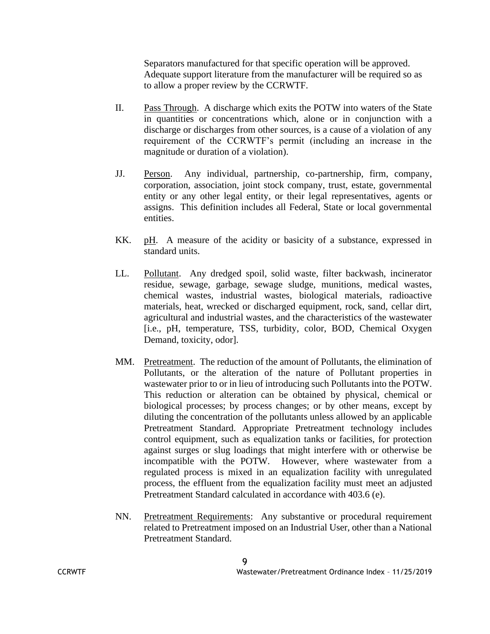Separators manufactured for that specific operation will be approved. Adequate support literature from the manufacturer will be required so as to allow a proper review by the CCRWTF.

- II. Pass Through. A discharge which exits the POTW into waters of the State in quantities or concentrations which, alone or in conjunction with a discharge or discharges from other sources, is a cause of a violation of any requirement of the CCRWTF's permit (including an increase in the magnitude or duration of a violation).
- JJ. Person. Any individual, partnership, co-partnership, firm, company, corporation, association, joint stock company, trust, estate, governmental entity or any other legal entity, or their legal representatives, agents or assigns. This definition includes all Federal, State or local governmental entities.
- KK. pH. A measure of the acidity or basicity of a substance, expressed in standard units.
- LL. Pollutant. Any dredged spoil, solid waste, filter backwash, incinerator residue, sewage, garbage, sewage sludge, munitions, medical wastes, chemical wastes, industrial wastes, biological materials, radioactive materials, heat, wrecked or discharged equipment, rock, sand, cellar dirt, agricultural and industrial wastes, and the characteristics of the wastewater [i.e., pH, temperature, TSS, turbidity, color, BOD, Chemical Oxygen Demand, toxicity, odor].
- MM. Pretreatment. The reduction of the amount of Pollutants, the elimination of Pollutants, or the alteration of the nature of Pollutant properties in wastewater prior to or in lieu of introducing such Pollutants into the POTW. This reduction or alteration can be obtained by physical, chemical or biological processes; by process changes; or by other means, except by diluting the concentration of the pollutants unless allowed by an applicable Pretreatment Standard. Appropriate Pretreatment technology includes control equipment, such as equalization tanks or facilities, for protection against surges or slug loadings that might interfere with or otherwise be incompatible with the POTW. However, where wastewater from a regulated process is mixed in an equalization facility with unregulated process, the effluent from the equalization facility must meet an adjusted Pretreatment Standard calculated in accordance with 403.6 (e).
- NN. Pretreatment Requirements: Any substantive or procedural requirement related to Pretreatment imposed on an Industrial User, other than a National Pretreatment Standard.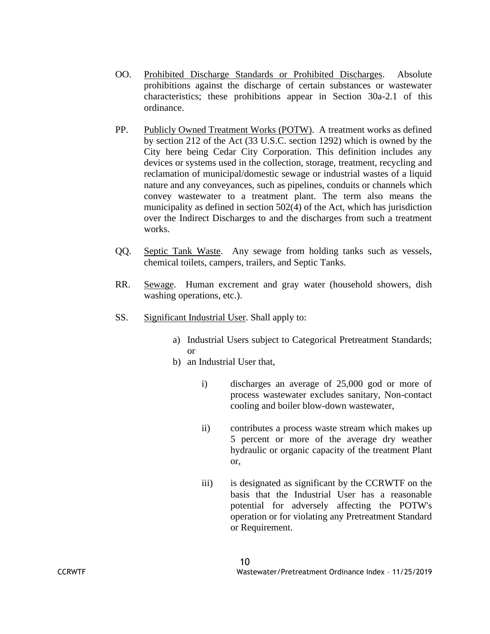- OO. Prohibited Discharge Standards or Prohibited Discharges. Absolute prohibitions against the discharge of certain substances or wastewater characteristics; these prohibitions appear in Section 30a-2.1 of this ordinance.
- PP. Publicly Owned Treatment Works (POTW). A treatment works as defined by section 212 of the Act (33 U.S.C. section 1292) which is owned by the City here being Cedar City Corporation. This definition includes any devices or systems used in the collection, storage, treatment, recycling and reclamation of municipal/domestic sewage or industrial wastes of a liquid nature and any conveyances, such as pipelines, conduits or channels which convey wastewater to a treatment plant. The term also means the municipality as defined in section 502(4) of the Act, which has jurisdiction over the Indirect Discharges to and the discharges from such a treatment works.
- QQ. Septic Tank Waste. Any sewage from holding tanks such as vessels, chemical toilets, campers, trailers, and Septic Tanks.
- RR. Sewage. Human excrement and gray water (household showers, dish washing operations, etc.).
- SS. Significant Industrial User. Shall apply to:
	- a) Industrial Users subject to Categorical Pretreatment Standards; or
	- b) an Industrial User that,
		- i) discharges an average of 25,000 god or more of process wastewater excludes sanitary, Non-contact cooling and boiler blow-down wastewater,
		- ii) contributes a process waste stream which makes up 5 percent or more of the average dry weather hydraulic or organic capacity of the treatment Plant or,
		- iii) is designated as significant by the CCRWTF on the basis that the Industrial User has a reasonable potential for adversely affecting the POTW's operation or for violating any Pretreatment Standard or Requirement.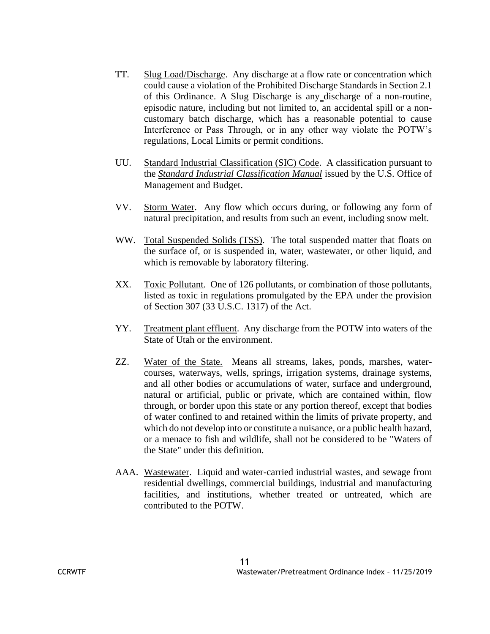- TT. Slug Load/Discharge. Any discharge at a flow rate or concentration which could cause a violation of the Prohibited Discharge Standards in Section 2.1 of this Ordinance. A Slug Discharge is any discharge of a non-routine, episodic nature, including but not limited to, an accidental spill or a noncustomary batch discharge, which has a reasonable potential to cause Interference or Pass Through, or in any other way violate the POTW's regulations, Local Limits or permit conditions.
- UU. Standard Industrial Classification (SIC) Code. A classification pursuant to the *Standard Industrial Classification Manual* issued by the U.S. Office of Management and Budget.
- VV. Storm Water. Any flow which occurs during, or following any form of natural precipitation, and results from such an event, including snow melt.
- WW. Total Suspended Solids (TSS). The total suspended matter that floats on the surface of, or is suspended in, water, wastewater, or other liquid, and which is removable by laboratory filtering.
- XX. Toxic Pollutant. One of 126 pollutants, or combination of those pollutants, listed as toxic in regulations promulgated by the EPA under the provision of Section 307 (33 U.S.C. 1317) of the Act.
- YY. Treatment plant effluent. Any discharge from the POTW into waters of the State of Utah or the environment.
- ZZ. Water of the State. Means all streams, lakes, ponds, marshes, watercourses, waterways, wells, springs, irrigation systems, drainage systems, and all other bodies or accumulations of water, surface and underground, natural or artificial, public or private, which are contained within, flow through, or border upon this state or any portion thereof, except that bodies of water confined to and retained within the limits of private property, and which do not develop into or constitute a nuisance, or a public health hazard, or a menace to fish and wildlife, shall not be considered to be "Waters of the State" under this definition.
- AAA. Wastewater. Liquid and water-carried industrial wastes, and sewage from residential dwellings, commercial buildings, industrial and manufacturing facilities, and institutions, whether treated or untreated, which are contributed to the POTW.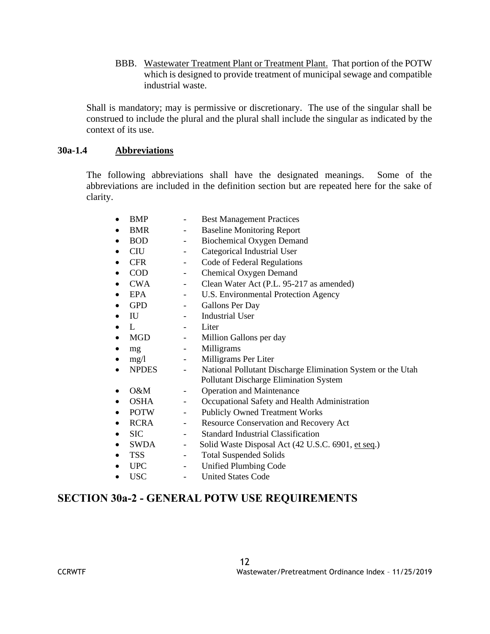BBB. Wastewater Treatment Plant or Treatment Plant. That portion of the POTW which is designed to provide treatment of municipal sewage and compatible industrial waste.

Shall is mandatory; may is permissive or discretionary. The use of the singular shall be construed to include the plural and the plural shall include the singular as indicated by the context of its use.

# **30a-1.4 Abbreviations**

The following abbreviations shall have the designated meanings. Some of the abbreviations are included in the definition section but are repeated here for the sake of clarity.

| $\bullet$ | <b>BMP</b>   |                          | <b>Best Management Practices</b>                            |
|-----------|--------------|--------------------------|-------------------------------------------------------------|
| $\bullet$ | <b>BMR</b>   | $\overline{\phantom{0}}$ | <b>Baseline Monitoring Report</b>                           |
| $\bullet$ | <b>BOD</b>   | $\overline{\phantom{0}}$ | <b>Biochemical Oxygen Demand</b>                            |
| ٠         | <b>CIU</b>   | $\overline{\phantom{0}}$ | Categorical Industrial User                                 |
| ٠         | <b>CFR</b>   | -                        | Code of Federal Regulations                                 |
| $\bullet$ | <b>COD</b>   | -                        | Chemical Oxygen Demand                                      |
| $\bullet$ | <b>CWA</b>   | $\overline{\phantom{0}}$ | Clean Water Act (P.L. 95-217 as amended)                    |
| $\bullet$ | <b>EPA</b>   | $\overline{\phantom{0}}$ | U.S. Environmental Protection Agency                        |
| $\bullet$ | <b>GPD</b>   | $\overline{\phantom{0}}$ | Gallons Per Day                                             |
| $\bullet$ | IU           |                          | <b>Industrial User</b>                                      |
| $\bullet$ | $\mathbf{L}$ |                          | Liter                                                       |
| $\bullet$ | <b>MGD</b>   | $\overline{\phantom{a}}$ | Million Gallons per day                                     |
| $\bullet$ | mg           | $\overline{\phantom{a}}$ | Milligrams                                                  |
| $\bullet$ | mg/1         | $\omega_{\rm{max}}$      | Milligrams Per Liter                                        |
| $\bullet$ | <b>NPDES</b> | $\overline{a}$           | National Pollutant Discharge Elimination System or the Utah |
|           |              |                          | Pollutant Discharge Elimination System                      |
| $\bullet$ | O&M          | -                        | <b>Operation and Maintenance</b>                            |
| ٠         | <b>OSHA</b>  | $\overline{\phantom{0}}$ | Occupational Safety and Health Administration               |
| $\bullet$ | <b>POTW</b>  | $\equiv$                 | <b>Publicly Owned Treatment Works</b>                       |
| $\bullet$ | <b>RCRA</b>  | $\overline{\phantom{0}}$ | <b>Resource Conservation and Recovery Act</b>               |
| $\bullet$ | <b>SIC</b>   |                          | <b>Standard Industrial Classification</b>                   |
| $\bullet$ | SWDA         | $\overline{\phantom{a}}$ | Solid Waste Disposal Act (42 U.S.C. 6901, et seq.)          |
| $\bullet$ | <b>TSS</b>   | $\overline{\phantom{0}}$ | <b>Total Suspended Solids</b>                               |
| $\bullet$ | <b>UPC</b>   | $\overline{\phantom{0}}$ | <b>Unified Plumbing Code</b>                                |
| $\bullet$ | <b>USC</b>   | $\overline{a}$           | <b>United States Code</b>                                   |

# **SECTION 30a-2 - GENERAL POTW USE REQUIREMENTS**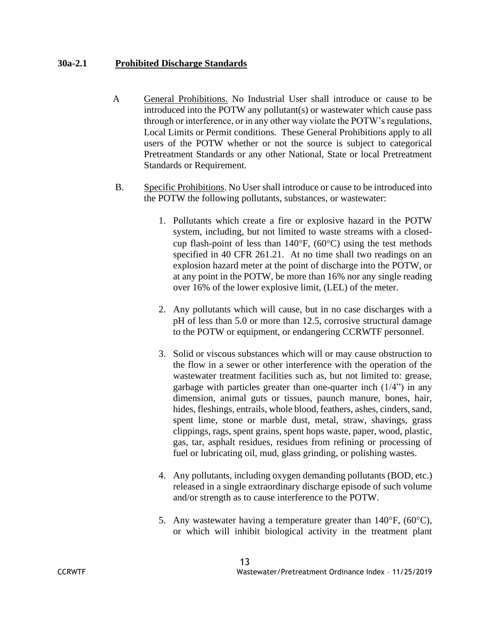## **30a-2.1 Prohibited Discharge Standards**

- A General Prohibitions. No Industrial User shall introduce or cause to be introduced into the POTW any pollutant(s) or wastewater which cause pass through or interference, or in any other way violate the POTW's regulations, Local Limits or Permit conditions. These General Prohibitions apply to all users of the POTW whether or not the source is subject to categorical Pretreatment Standards or any other National, State or local Pretreatment Standards or Requirement.
- B. Specific Prohibitions. No User shall introduce or cause to be introduced into the POTW the following pollutants, substances, or wastewater:
	- 1. Pollutants which create a fire or explosive hazard in the POTW system, including, but not limited to waste streams with a closedcup flash-point of less than  $140^{\circ}$ F, (60 $^{\circ}$ C) using the test methods specified in 40 CFR 261.21. At no time shall two readings on an explosion hazard meter at the point of discharge into the POTW, or at any point in the POTW, be more than 16% nor any single reading over 16% of the lower explosive limit, (LEL) of the meter.
	- 2. Any pollutants which will cause, but in no case discharges with a pH of less than 5.0 or more than 12.5, corrosive structural damage to the POTW or equipment, or endangering CCRWTF personnel.
	- 3. Solid or viscous substances which will or may cause obstruction to the flow in a sewer or other interference with the operation of the wastewater treatment facilities such as, but not limited to: grease, garbage with particles greater than one-quarter inch  $(1/4)$  in any dimension, animal guts or tissues, paunch manure, bones, hair, hides, fleshings, entrails, whole blood, feathers, ashes, cinders, sand, spent lime, stone or marble dust, metal, straw, shavings, grass clippings, rags, spent grains, spent hops waste, paper, wood, plastic, gas, tar, asphalt residues, residues from refining or processing of fuel or lubricating oil, mud, glass grinding, or polishing wastes.
	- 4. Any pollutants, including oxygen demanding pollutants (BOD, etc.) released in a single extraordinary discharge episode of such volume and/or strength as to cause interference to the POTW.
	- 5. Any wastewater having a temperature greater than  $140^{\circ}$ F,  $(60^{\circ}$ C), or which will inhibit biological activity in the treatment plant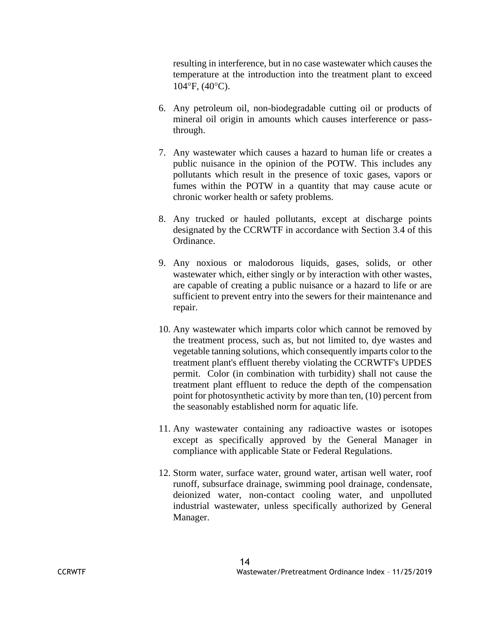resulting in interference, but in no case wastewater which causes the temperature at the introduction into the treatment plant to exceed  $104^{\circ}$ F,  $(40^{\circ}$ C).

- 6. Any petroleum oil, non-biodegradable cutting oil or products of mineral oil origin in amounts which causes interference or passthrough.
- 7. Any wastewater which causes a hazard to human life or creates a public nuisance in the opinion of the POTW. This includes any pollutants which result in the presence of toxic gases, vapors or fumes within the POTW in a quantity that may cause acute or chronic worker health or safety problems.
- 8. Any trucked or hauled pollutants, except at discharge points designated by the CCRWTF in accordance with Section 3.4 of this Ordinance.
- 9. Any noxious or malodorous liquids, gases, solids, or other wastewater which, either singly or by interaction with other wastes, are capable of creating a public nuisance or a hazard to life or are sufficient to prevent entry into the sewers for their maintenance and repair.
- 10. Any wastewater which imparts color which cannot be removed by the treatment process, such as, but not limited to, dye wastes and vegetable tanning solutions, which consequently imparts color to the treatment plant's effluent thereby violating the CCRWTF's UPDES permit. Color (in combination with turbidity) shall not cause the treatment plant effluent to reduce the depth of the compensation point for photosynthetic activity by more than ten, (10) percent from the seasonably established norm for aquatic life.
- 11. Any wastewater containing any radioactive wastes or isotopes except as specifically approved by the General Manager in compliance with applicable State or Federal Regulations.
- 12. Storm water, surface water, ground water, artisan well water, roof runoff, subsurface drainage, swimming pool drainage, condensate, deionized water, non-contact cooling water, and unpolluted industrial wastewater, unless specifically authorized by General Manager.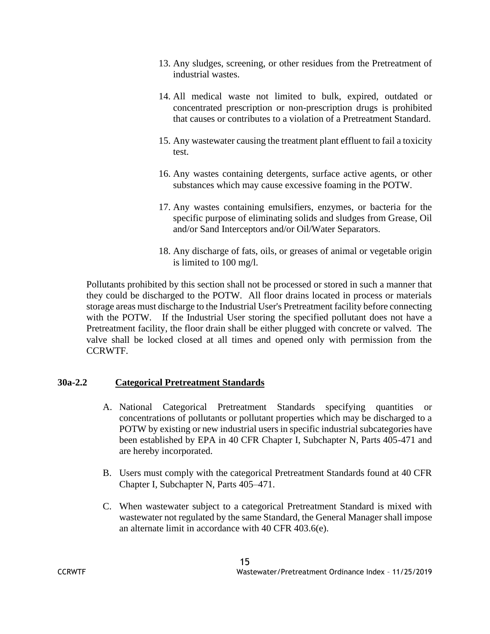- 13. Any sludges, screening, or other residues from the Pretreatment of industrial wastes.
- 14. All medical waste not limited to bulk, expired, outdated or concentrated prescription or non-prescription drugs is prohibited that causes or contributes to a violation of a Pretreatment Standard.
- 15. Any wastewater causing the treatment plant effluent to fail a toxicity test.
- 16. Any wastes containing detergents, surface active agents, or other substances which may cause excessive foaming in the POTW.
- 17. Any wastes containing emulsifiers, enzymes, or bacteria for the specific purpose of eliminating solids and sludges from Grease, Oil and/or Sand Interceptors and/or Oil/Water Separators.
- 18. Any discharge of fats, oils, or greases of animal or vegetable origin is limited to 100 mg/l.

Pollutants prohibited by this section shall not be processed or stored in such a manner that they could be discharged to the POTW. All floor drains located in process or materials storage areas must discharge to the Industrial User's Pretreatment facility before connecting with the POTW. If the Industrial User storing the specified pollutant does not have a Pretreatment facility, the floor drain shall be either plugged with concrete or valved. The valve shall be locked closed at all times and opened only with permission from the CCRWTF.

# **30a-2.2 Categorical Pretreatment Standards**

- A. National Categorical Pretreatment Standards specifying quantities or concentrations of pollutants or pollutant properties which may be discharged to a POTW by existing or new industrial users in specific industrial subcategories have been established by EPA in 40 CFR Chapter I, Subchapter N, Parts 405-471 and are hereby incorporated.
- B. Users must comply with the categorical Pretreatment Standards found at 40 CFR Chapter I, Subchapter N, Parts 405–471.
- C. When wastewater subject to a categorical Pretreatment Standard is mixed with wastewater not regulated by the same Standard, the General Manager shall impose an alternate limit in accordance with 40 CFR 403.6(e).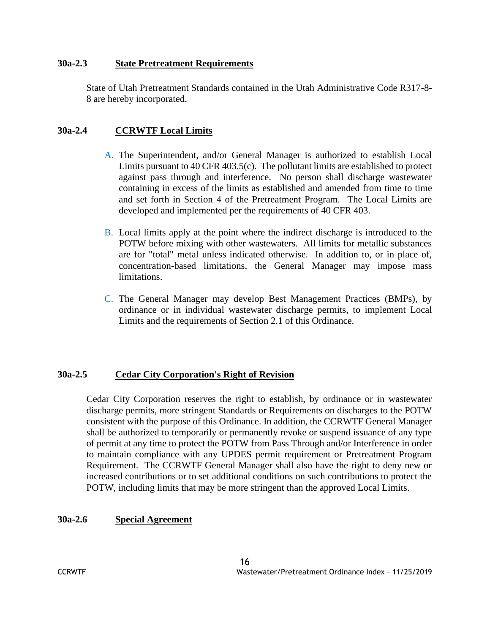#### **30a-2.3 State Pretreatment Requirements**

State of Utah Pretreatment Standards contained in the Utah Administrative Code R317-8- 8 are hereby incorporated.

#### **30a-2.4 CCRWTF Local Limits**

- A. The Superintendent, and/or General Manager is authorized to establish Local Limits pursuant to 40 CFR 403.5(c). The pollutant limits are established to protect against pass through and interference. No person shall discharge wastewater containing in excess of the limits as established and amended from time to time and set forth in Section 4 of the Pretreatment Program. The Local Limits are developed and implemented per the requirements of 40 CFR 403.
- B. Local limits apply at the point where the indirect discharge is introduced to the POTW before mixing with other wastewaters. All limits for metallic substances are for "total" metal unless indicated otherwise. In addition to, or in place of, concentration-based limitations, the General Manager may impose mass limitations.
- C. The General Manager may develop Best Management Practices (BMPs), by ordinance or in individual wastewater discharge permits, to implement Local Limits and the requirements of Section 2.1 of this Ordinance.

# **30a-2.5 Cedar City Corporation's Right of Revision**

Cedar City Corporation reserves the right to establish, by ordinance or in wastewater discharge permits, more stringent Standards or Requirements on discharges to the POTW consistent with the purpose of this Ordinance. In addition, the CCRWTF General Manager shall be authorized to temporarily or permanently revoke or suspend issuance of any type of permit at any time to protect the POTW from Pass Through and/or Interference in order to maintain compliance with any UPDES permit requirement or Pretreatment Program Requirement. The CCRWTF General Manager shall also have the right to deny new or increased contributions or to set additional conditions on such contributions to protect the POTW, including limits that may be more stringent than the approved Local Limits.

#### **30a-2.6 Special Agreement**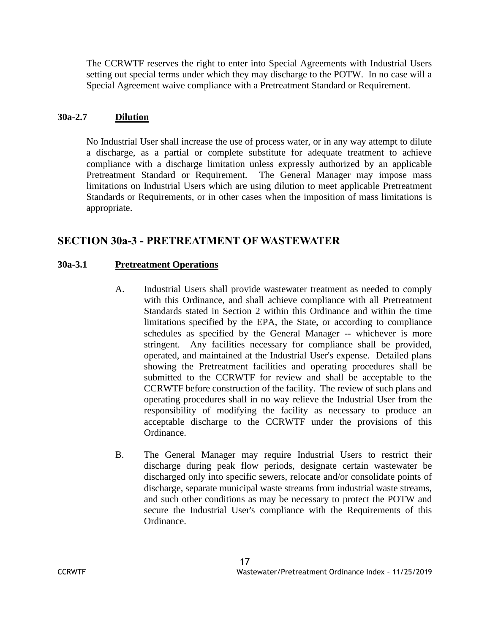The CCRWTF reserves the right to enter into Special Agreements with Industrial Users setting out special terms under which they may discharge to the POTW. In no case will a Special Agreement waive compliance with a Pretreatment Standard or Requirement.

# **30a-2.7 Dilution**

No Industrial User shall increase the use of process water, or in any way attempt to dilute a discharge, as a partial or complete substitute for adequate treatment to achieve compliance with a discharge limitation unless expressly authorized by an applicable Pretreatment Standard or Requirement. The General Manager may impose mass limitations on Industrial Users which are using dilution to meet applicable Pretreatment Standards or Requirements, or in other cases when the imposition of mass limitations is appropriate.

# **SECTION 30a-3 - PRETREATMENT OF WASTEWATER**

# **30a-3.1 Pretreatment Operations**

- A. Industrial Users shall provide wastewater treatment as needed to comply with this Ordinance, and shall achieve compliance with all Pretreatment Standards stated in Section 2 within this Ordinance and within the time limitations specified by the EPA, the State, or according to compliance schedules as specified by the General Manager -- whichever is more stringent. Any facilities necessary for compliance shall be provided, operated, and maintained at the Industrial User's expense. Detailed plans showing the Pretreatment facilities and operating procedures shall be submitted to the CCRWTF for review and shall be acceptable to the CCRWTF before construction of the facility. The review of such plans and operating procedures shall in no way relieve the Industrial User from the responsibility of modifying the facility as necessary to produce an acceptable discharge to the CCRWTF under the provisions of this Ordinance.
- B. The General Manager may require Industrial Users to restrict their discharge during peak flow periods, designate certain wastewater be discharged only into specific sewers, relocate and/or consolidate points of discharge, separate municipal waste streams from industrial waste streams, and such other conditions as may be necessary to protect the POTW and secure the Industrial User's compliance with the Requirements of this Ordinance.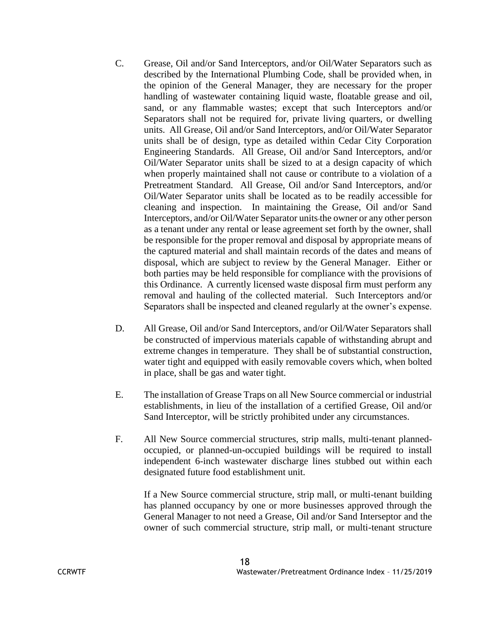- C. Grease, Oil and/or Sand Interceptors, and/or Oil/Water Separators such as described by the International Plumbing Code, shall be provided when, in the opinion of the General Manager, they are necessary for the proper handling of wastewater containing liquid waste, floatable grease and oil, sand, or any flammable wastes; except that such Interceptors and/or Separators shall not be required for, private living quarters, or dwelling units. All Grease, Oil and/or Sand Interceptors, and/or Oil/Water Separator units shall be of design, type as detailed within Cedar City Corporation Engineering Standards. All Grease, Oil and/or Sand Interceptors, and/or Oil/Water Separator units shall be sized to at a design capacity of which when properly maintained shall not cause or contribute to a violation of a Pretreatment Standard. All Grease, Oil and/or Sand Interceptors, and/or Oil/Water Separator units shall be located as to be readily accessible for cleaning and inspection. In maintaining the Grease, Oil and/or Sand Interceptors, and/or Oil/Water Separator units the owner or any other person as a tenant under any rental or lease agreement set forth by the owner, shall be responsible for the proper removal and disposal by appropriate means of the captured material and shall maintain records of the dates and means of disposal, which are subject to review by the General Manager. Either or both parties may be held responsible for compliance with the provisions of this Ordinance. A currently licensed waste disposal firm must perform any removal and hauling of the collected material. Such Interceptors and/or Separators shall be inspected and cleaned regularly at the owner's expense.
- D. All Grease, Oil and/or Sand Interceptors, and/or Oil/Water Separators shall be constructed of impervious materials capable of withstanding abrupt and extreme changes in temperature. They shall be of substantial construction, water tight and equipped with easily removable covers which, when bolted in place, shall be gas and water tight.
- E. The installation of Grease Traps on all New Source commercial or industrial establishments, in lieu of the installation of a certified Grease, Oil and/or Sand Interceptor, will be strictly prohibited under any circumstances.
- F. All New Source commercial structures, strip malls, multi-tenant plannedoccupied, or planned-un-occupied buildings will be required to install independent 6-inch wastewater discharge lines stubbed out within each designated future food establishment unit.

If a New Source commercial structure, strip mall, or multi-tenant building has planned occupancy by one or more businesses approved through the General Manager to not need a Grease, Oil and/or Sand Interseptor and the owner of such commercial structure, strip mall, or multi-tenant structure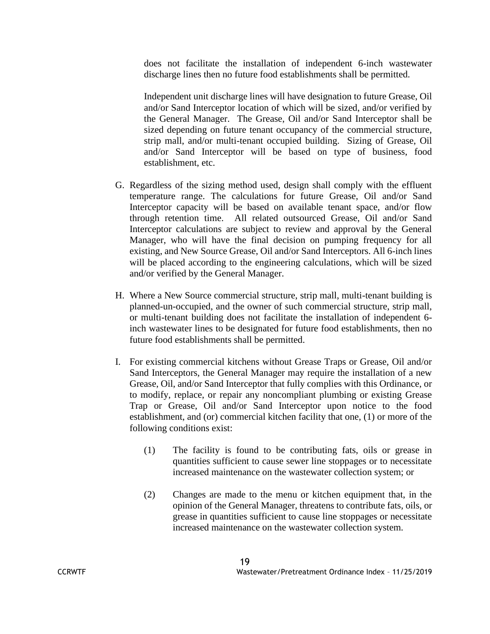does not facilitate the installation of independent 6-inch wastewater discharge lines then no future food establishments shall be permitted.

Independent unit discharge lines will have designation to future Grease, Oil and/or Sand Interceptor location of which will be sized, and/or verified by the General Manager. The Grease, Oil and/or Sand Interceptor shall be sized depending on future tenant occupancy of the commercial structure, strip mall, and/or multi-tenant occupied building. Sizing of Grease, Oil and/or Sand Interceptor will be based on type of business, food establishment, etc.

- G. Regardless of the sizing method used, design shall comply with the effluent temperature range. The calculations for future Grease, Oil and/or Sand Interceptor capacity will be based on available tenant space, and/or flow through retention time. All related outsourced Grease, Oil and/or Sand Interceptor calculations are subject to review and approval by the General Manager, who will have the final decision on pumping frequency for all existing, and New Source Grease, Oil and/or Sand Interceptors. All 6-inch lines will be placed according to the engineering calculations, which will be sized and/or verified by the General Manager.
- H. Where a New Source commercial structure, strip mall, multi-tenant building is planned-un-occupied, and the owner of such commercial structure, strip mall, or multi-tenant building does not facilitate the installation of independent 6 inch wastewater lines to be designated for future food establishments, then no future food establishments shall be permitted.
- I. For existing commercial kitchens without Grease Traps or Grease, Oil and/or Sand Interceptors, the General Manager may require the installation of a new Grease, Oil, and/or Sand Interceptor that fully complies with this Ordinance, or to modify, replace, or repair any noncompliant plumbing or existing Grease Trap or Grease, Oil and/or Sand Interceptor upon notice to the food establishment, and (or) commercial kitchen facility that one, (1) or more of the following conditions exist:
	- (1) The facility is found to be contributing fats, oils or grease in quantities sufficient to cause sewer line stoppages or to necessitate increased maintenance on the wastewater collection system; or
	- (2) Changes are made to the menu or kitchen equipment that, in the opinion of the General Manager, threatens to contribute fats, oils, or grease in quantities sufficient to cause line stoppages or necessitate increased maintenance on the wastewater collection system.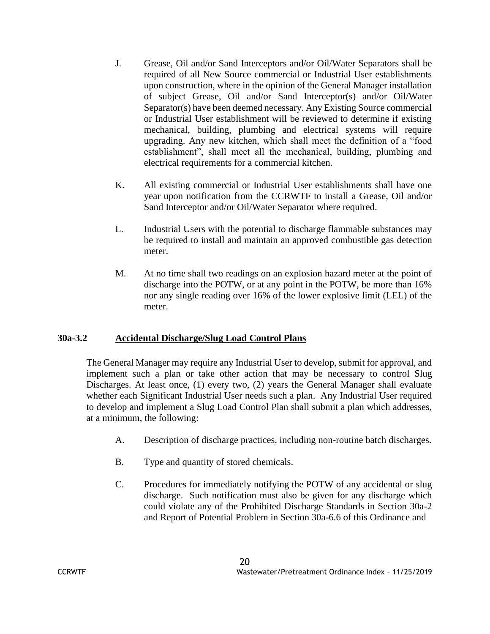- J. Grease, Oil and/or Sand Interceptors and/or Oil/Water Separators shall be required of all New Source commercial or Industrial User establishments upon construction, where in the opinion of the General Manager installation of subject Grease, Oil and/or Sand Interceptor(s) and/or Oil/Water Separator(s) have been deemed necessary. Any Existing Source commercial or Industrial User establishment will be reviewed to determine if existing mechanical, building, plumbing and electrical systems will require upgrading. Any new kitchen, which shall meet the definition of a "food establishment", shall meet all the mechanical, building, plumbing and electrical requirements for a commercial kitchen.
- K. All existing commercial or Industrial User establishments shall have one year upon notification from the CCRWTF to install a Grease, Oil and/or Sand Interceptor and/or Oil/Water Separator where required.
- L. Industrial Users with the potential to discharge flammable substances may be required to install and maintain an approved combustible gas detection meter.
- M. At no time shall two readings on an explosion hazard meter at the point of discharge into the POTW, or at any point in the POTW, be more than 16% nor any single reading over 16% of the lower explosive limit (LEL) of the meter.

# **30a-3.2 Accidental Discharge/Slug Load Control Plans**

The General Manager may require any Industrial User to develop, submit for approval, and implement such a plan or take other action that may be necessary to control Slug Discharges. At least once, (1) every two, (2) years the General Manager shall evaluate whether each Significant Industrial User needs such a plan. Any Industrial User required to develop and implement a Slug Load Control Plan shall submit a plan which addresses, at a minimum, the following:

- A. Description of discharge practices, including non-routine batch discharges.
- B. Type and quantity of stored chemicals.
- C. Procedures for immediately notifying the POTW of any accidental or slug discharge. Such notification must also be given for any discharge which could violate any of the Prohibited Discharge Standards in Section 30a-2 and Report of Potential Problem in Section 30a-6.6 of this Ordinance and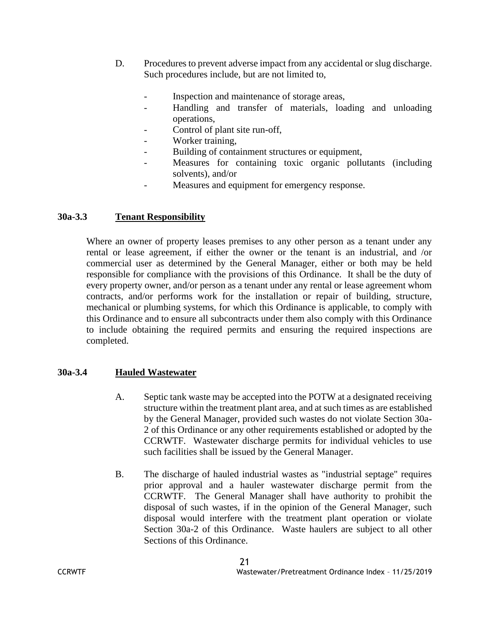- D. Procedures to prevent adverse impact from any accidental or slug discharge. Such procedures include, but are not limited to,
	- Inspection and maintenance of storage areas,
	- Handling and transfer of materials, loading and unloading operations,
	- Control of plant site run-off,
	- Worker training,
	- Building of containment structures or equipment,
	- Measures for containing toxic organic pollutants (including solvents), and/or
	- Measures and equipment for emergency response.

#### **30a-3.3 Tenant Responsibility**

Where an owner of property leases premises to any other person as a tenant under any rental or lease agreement, if either the owner or the tenant is an industrial, and /or commercial user as determined by the General Manager, either or both may be held responsible for compliance with the provisions of this Ordinance. It shall be the duty of every property owner, and/or person as a tenant under any rental or lease agreement whom contracts, and/or performs work for the installation or repair of building, structure, mechanical or plumbing systems, for which this Ordinance is applicable, to comply with this Ordinance and to ensure all subcontracts under them also comply with this Ordinance to include obtaining the required permits and ensuring the required inspections are completed.

#### **30a-3.4 Hauled Wastewater**

- A. Septic tank waste may be accepted into the POTW at a designated receiving structure within the treatment plant area, and at such times as are established by the General Manager, provided such wastes do not violate Section 30a-2 of this Ordinance or any other requirements established or adopted by the CCRWTF. Wastewater discharge permits for individual vehicles to use such facilities shall be issued by the General Manager.
- B. The discharge of hauled industrial wastes as "industrial septage" requires prior approval and a hauler wastewater discharge permit from the CCRWTF. The General Manager shall have authority to prohibit the disposal of such wastes, if in the opinion of the General Manager, such disposal would interfere with the treatment plant operation or violate Section 30a-2 of this Ordinance. Waste haulers are subject to all other Sections of this Ordinance.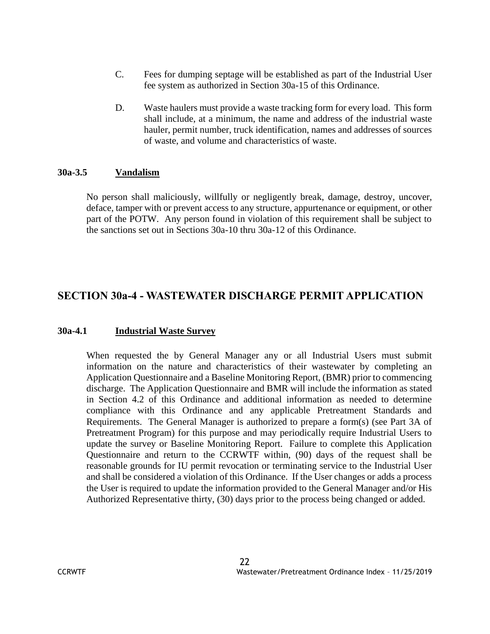- C. Fees for dumping septage will be established as part of the Industrial User fee system as authorized in Section 30a-15 of this Ordinance.
- D. Waste haulers must provide a waste tracking form for every load. This form shall include, at a minimum, the name and address of the industrial waste hauler, permit number, truck identification, names and addresses of sources of waste, and volume and characteristics of waste.

#### **30a-3.5 Vandalism**

No person shall maliciously, willfully or negligently break, damage, destroy, uncover, deface, tamper with or prevent access to any structure, appurtenance or equipment, or other part of the POTW. Any person found in violation of this requirement shall be subject to the sanctions set out in Sections 30a-10 thru 30a-12 of this Ordinance.

# **SECTION 30a-4 - WASTEWATER DISCHARGE PERMIT APPLICATION**

# **30a-4.1 Industrial Waste Survey**

When requested the by General Manager any or all Industrial Users must submit information on the nature and characteristics of their wastewater by completing an Application Questionnaire and a Baseline Monitoring Report, (BMR) prior to commencing discharge. The Application Questionnaire and BMR will include the information as stated in Section 4.2 of this Ordinance and additional information as needed to determine compliance with this Ordinance and any applicable Pretreatment Standards and Requirements. The General Manager is authorized to prepare a form(s) (see Part 3A of Pretreatment Program) for this purpose and may periodically require Industrial Users to update the survey or Baseline Monitoring Report. Failure to complete this Application Questionnaire and return to the CCRWTF within, (90) days of the request shall be reasonable grounds for IU permit revocation or terminating service to the Industrial User and shall be considered a violation of this Ordinance. If the User changes or adds a process the User is required to update the information provided to the General Manager and/or His Authorized Representative thirty, (30) days prior to the process being changed or added.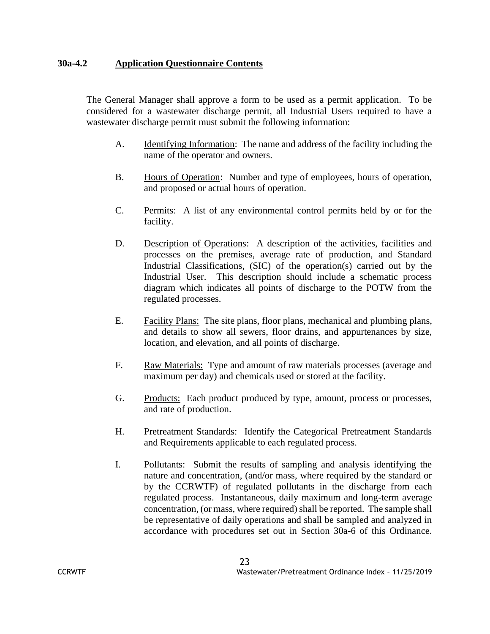#### **30a-4.2 Application Questionnaire Contents**

The General Manager shall approve a form to be used as a permit application. To be considered for a wastewater discharge permit, all Industrial Users required to have a wastewater discharge permit must submit the following information:

- A. Identifying Information: The name and address of the facility including the name of the operator and owners.
- B. Hours of Operation: Number and type of employees, hours of operation, and proposed or actual hours of operation.
- C. Permits: A list of any environmental control permits held by or for the facility.
- D. Description of Operations: A description of the activities, facilities and processes on the premises, average rate of production, and Standard Industrial Classifications, (SIC) of the operation(s) carried out by the Industrial User. This description should include a schematic process diagram which indicates all points of discharge to the POTW from the regulated processes.
- E. Facility Plans: The site plans, floor plans, mechanical and plumbing plans, and details to show all sewers, floor drains, and appurtenances by size, location, and elevation, and all points of discharge.
- F. Raw Materials: Type and amount of raw materials processes (average and maximum per day) and chemicals used or stored at the facility.
- G. Products: Each product produced by type, amount, process or processes, and rate of production.
- H. Pretreatment Standards: Identify the Categorical Pretreatment Standards and Requirements applicable to each regulated process.
- I. Pollutants: Submit the results of sampling and analysis identifying the nature and concentration, (and/or mass, where required by the standard or by the CCRWTF) of regulated pollutants in the discharge from each regulated process. Instantaneous, daily maximum and long-term average concentration, (or mass, where required) shall be reported. The sample shall be representative of daily operations and shall be sampled and analyzed in accordance with procedures set out in Section 30a-6 of this Ordinance.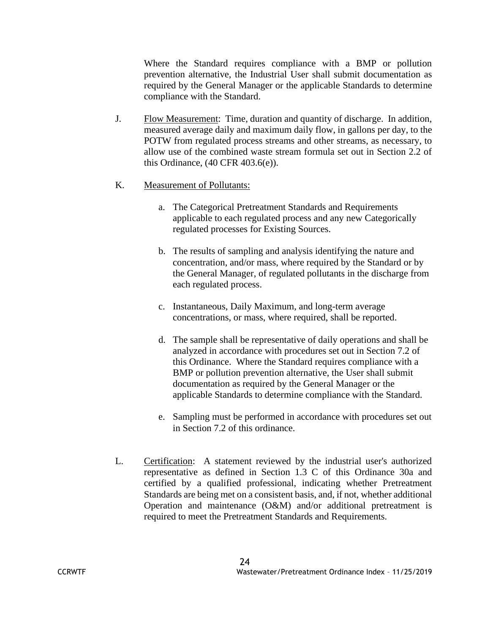Where the Standard requires compliance with a BMP or pollution prevention alternative, the Industrial User shall submit documentation as required by the General Manager or the applicable Standards to determine compliance with the Standard.

J. Flow Measurement: Time, duration and quantity of discharge. In addition, measured average daily and maximum daily flow, in gallons per day, to the POTW from regulated process streams and other streams, as necessary, to allow use of the combined waste stream formula set out in Section 2.2 of this Ordinance, (40 CFR 403.6(e)).

#### K. Measurement of Pollutants:

- a. The Categorical Pretreatment Standards and Requirements applicable to each regulated process and any new Categorically regulated processes for Existing Sources.
- b. The results of sampling and analysis identifying the nature and concentration, and/or mass, where required by the Standard or by the General Manager, of regulated pollutants in the discharge from each regulated process.
- c. Instantaneous, Daily Maximum, and long-term average concentrations, or mass, where required, shall be reported.
- d. The sample shall be representative of daily operations and shall be analyzed in accordance with procedures set out in Section 7.2 of this Ordinance. Where the Standard requires compliance with a BMP or pollution prevention alternative, the User shall submit documentation as required by the General Manager or the applicable Standards to determine compliance with the Standard.
- e. Sampling must be performed in accordance with procedures set out in Section 7.2 of this ordinance.
- L. Certification: A statement reviewed by the industrial user's authorized representative as defined in Section 1.3 C of this Ordinance 30a and certified by a qualified professional, indicating whether Pretreatment Standards are being met on a consistent basis, and, if not, whether additional Operation and maintenance (O&M) and/or additional pretreatment is required to meet the Pretreatment Standards and Requirements.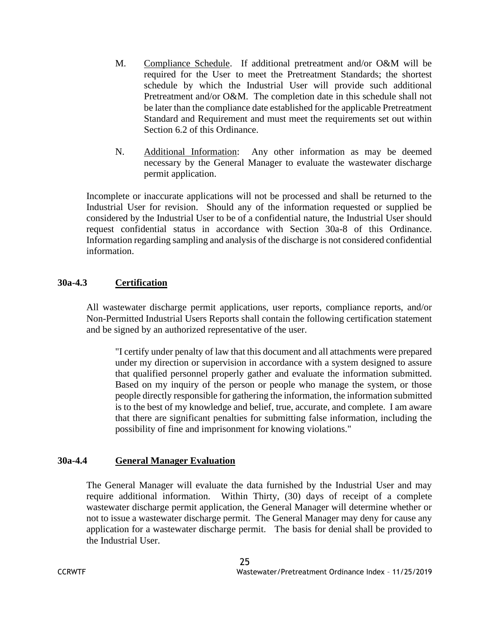- M. Compliance Schedule. If additional pretreatment and/or O&M will be required for the User to meet the Pretreatment Standards; the shortest schedule by which the Industrial User will provide such additional Pretreatment and/or O&M. The completion date in this schedule shall not be later than the compliance date established for the applicable Pretreatment Standard and Requirement and must meet the requirements set out within Section 6.2 of this Ordinance.
- N. Additional Information: Any other information as may be deemed necessary by the General Manager to evaluate the wastewater discharge permit application.

Incomplete or inaccurate applications will not be processed and shall be returned to the Industrial User for revision. Should any of the information requested or supplied be considered by the Industrial User to be of a confidential nature, the Industrial User should request confidential status in accordance with Section 30a-8 of this Ordinance. Information regarding sampling and analysis of the discharge is not considered confidential information.

#### **30a-4.3 Certification**

All wastewater discharge permit applications, user reports, compliance reports, and/or Non-Permitted Industrial Users Reports shall contain the following certification statement and be signed by an authorized representative of the user.

"I certify under penalty of law that this document and all attachments were prepared under my direction or supervision in accordance with a system designed to assure that qualified personnel properly gather and evaluate the information submitted. Based on my inquiry of the person or people who manage the system, or those people directly responsible for gathering the information, the information submitted is to the best of my knowledge and belief, true, accurate, and complete. I am aware that there are significant penalties for submitting false information, including the possibility of fine and imprisonment for knowing violations."

#### **30a-4.4 General Manager Evaluation**

The General Manager will evaluate the data furnished by the Industrial User and may require additional information. Within Thirty, (30) days of receipt of a complete wastewater discharge permit application, the General Manager will determine whether or not to issue a wastewater discharge permit. The General Manager may deny for cause any application for a wastewater discharge permit. The basis for denial shall be provided to the Industrial User.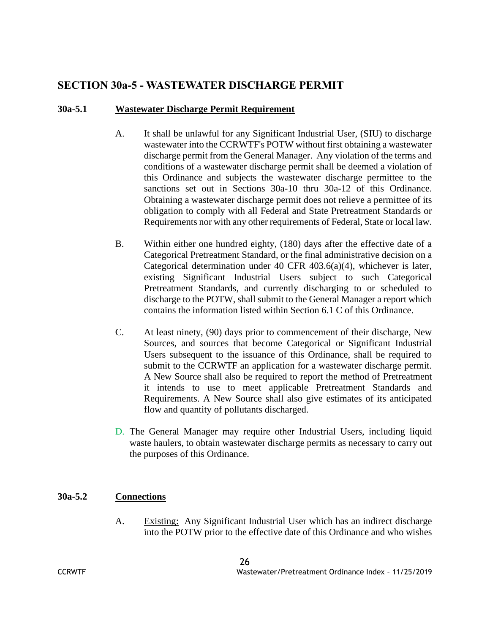# **SECTION 30a-5 - WASTEWATER DISCHARGE PERMIT**

# **30a-5.1 Wastewater Discharge Permit Requirement**

- A. It shall be unlawful for any Significant Industrial User, (SIU) to discharge wastewater into the CCRWTF's POTW without first obtaining a wastewater discharge permit from the General Manager. Any violation of the terms and conditions of a wastewater discharge permit shall be deemed a violation of this Ordinance and subjects the wastewater discharge permittee to the sanctions set out in Sections 30a-10 thru 30a-12 of this Ordinance. Obtaining a wastewater discharge permit does not relieve a permittee of its obligation to comply with all Federal and State Pretreatment Standards or Requirements nor with any other requirements of Federal, State or local law.
- B. Within either one hundred eighty, (180) days after the effective date of a Categorical Pretreatment Standard, or the final administrative decision on a Categorical determination under 40 CFR 403.6(a)(4), whichever is later, existing Significant Industrial Users subject to such Categorical Pretreatment Standards, and currently discharging to or scheduled to discharge to the POTW, shall submit to the General Manager a report which contains the information listed within Section 6.1 C of this Ordinance.
- C. At least ninety, (90) days prior to commencement of their discharge, New Sources, and sources that become Categorical or Significant Industrial Users subsequent to the issuance of this Ordinance, shall be required to submit to the CCRWTF an application for a wastewater discharge permit. A New Source shall also be required to report the method of Pretreatment it intends to use to meet applicable Pretreatment Standards and Requirements. A New Source shall also give estimates of its anticipated flow and quantity of pollutants discharged.
- D. The General Manager may require other Industrial Users, including liquid waste haulers, to obtain wastewater discharge permits as necessary to carry out the purposes of this Ordinance.

# **30a-5.2 Connections**

A. Existing: Any Significant Industrial User which has an indirect discharge into the POTW prior to the effective date of this Ordinance and who wishes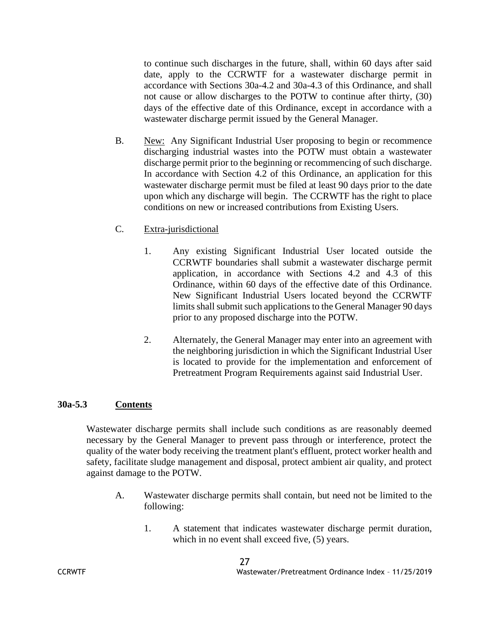to continue such discharges in the future, shall, within 60 days after said date, apply to the CCRWTF for a wastewater discharge permit in accordance with Sections 30a-4.2 and 30a-4.3 of this Ordinance, and shall not cause or allow discharges to the POTW to continue after thirty, (30) days of the effective date of this Ordinance, except in accordance with a wastewater discharge permit issued by the General Manager.

- B. New: Any Significant Industrial User proposing to begin or recommence discharging industrial wastes into the POTW must obtain a wastewater discharge permit prior to the beginning or recommencing of such discharge. In accordance with Section 4.2 of this Ordinance, an application for this wastewater discharge permit must be filed at least 90 days prior to the date upon which any discharge will begin. The CCRWTF has the right to place conditions on new or increased contributions from Existing Users.
- C. Extra-jurisdictional
	- 1. Any existing Significant Industrial User located outside the CCRWTF boundaries shall submit a wastewater discharge permit application, in accordance with Sections 4.2 and 4.3 of this Ordinance, within 60 days of the effective date of this Ordinance. New Significant Industrial Users located beyond the CCRWTF limits shall submit such applications to the General Manager 90 days prior to any proposed discharge into the POTW.
	- 2. Alternately, the General Manager may enter into an agreement with the neighboring jurisdiction in which the Significant Industrial User is located to provide for the implementation and enforcement of Pretreatment Program Requirements against said Industrial User.

# **30a-5.3 Contents**

Wastewater discharge permits shall include such conditions as are reasonably deemed necessary by the General Manager to prevent pass through or interference, protect the quality of the water body receiving the treatment plant's effluent, protect worker health and safety, facilitate sludge management and disposal, protect ambient air quality, and protect against damage to the POTW.

- A. Wastewater discharge permits shall contain, but need not be limited to the following:
	- 1. A statement that indicates wastewater discharge permit duration, which in no event shall exceed five,  $(5)$  years.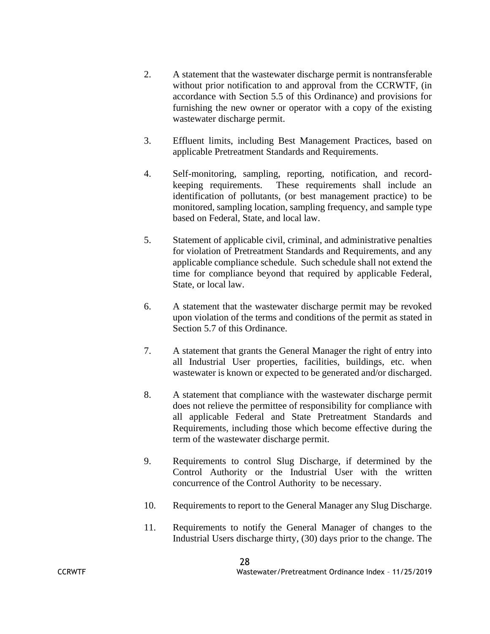- 2. A statement that the wastewater discharge permit is nontransferable without prior notification to and approval from the CCRWTF, (in accordance with Section 5.5 of this Ordinance) and provisions for furnishing the new owner or operator with a copy of the existing wastewater discharge permit.
- 3. Effluent limits, including Best Management Practices, based on applicable Pretreatment Standards and Requirements.
- 4. Self-monitoring, sampling, reporting, notification, and recordkeeping requirements. These requirements shall include an identification of pollutants, (or best management practice) to be monitored, sampling location, sampling frequency, and sample type based on Federal, State, and local law.
- 5. Statement of applicable civil, criminal, and administrative penalties for violation of Pretreatment Standards and Requirements, and any applicable compliance schedule. Such schedule shall not extend the time for compliance beyond that required by applicable Federal, State, or local law.
- 6. A statement that the wastewater discharge permit may be revoked upon violation of the terms and conditions of the permit as stated in Section 5.7 of this Ordinance.
- 7. A statement that grants the General Manager the right of entry into all Industrial User properties, facilities, buildings, etc. when wastewater is known or expected to be generated and/or discharged.
- 8. A statement that compliance with the wastewater discharge permit does not relieve the permittee of responsibility for compliance with all applicable Federal and State Pretreatment Standards and Requirements, including those which become effective during the term of the wastewater discharge permit.
- 9. Requirements to control Slug Discharge, if determined by the Control Authority or the Industrial User with the written concurrence of the Control Authority to be necessary.
- 10. Requirements to report to the General Manager any Slug Discharge.
- 11. Requirements to notify the General Manager of changes to the Industrial Users discharge thirty, (30) days prior to the change. The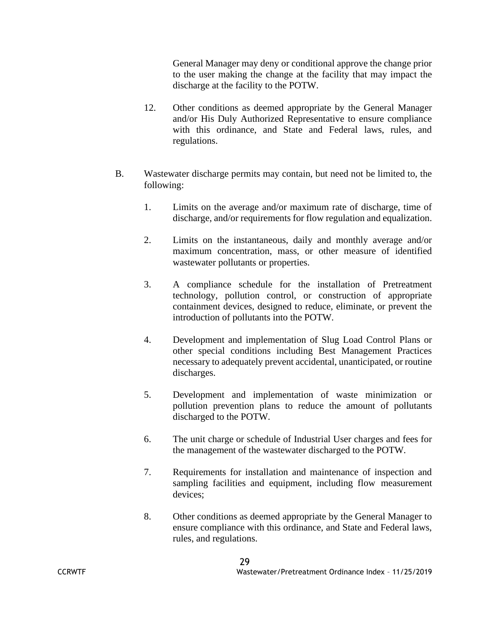General Manager may deny or conditional approve the change prior to the user making the change at the facility that may impact the discharge at the facility to the POTW.

- 12. Other conditions as deemed appropriate by the General Manager and/or His Duly Authorized Representative to ensure compliance with this ordinance, and State and Federal laws, rules, and regulations.
- B. Wastewater discharge permits may contain, but need not be limited to, the following:
	- 1. Limits on the average and/or maximum rate of discharge, time of discharge, and/or requirements for flow regulation and equalization.
	- 2. Limits on the instantaneous, daily and monthly average and/or maximum concentration, mass, or other measure of identified wastewater pollutants or properties.
	- 3. A compliance schedule for the installation of Pretreatment technology, pollution control, or construction of appropriate containment devices, designed to reduce, eliminate, or prevent the introduction of pollutants into the POTW.
	- 4. Development and implementation of Slug Load Control Plans or other special conditions including Best Management Practices necessary to adequately prevent accidental, unanticipated, or routine discharges.
	- 5. Development and implementation of waste minimization or pollution prevention plans to reduce the amount of pollutants discharged to the POTW.
	- 6. The unit charge or schedule of Industrial User charges and fees for the management of the wastewater discharged to the POTW.
	- 7. Requirements for installation and maintenance of inspection and sampling facilities and equipment, including flow measurement devices;
	- 8. Other conditions as deemed appropriate by the General Manager to ensure compliance with this ordinance, and State and Federal laws, rules, and regulations.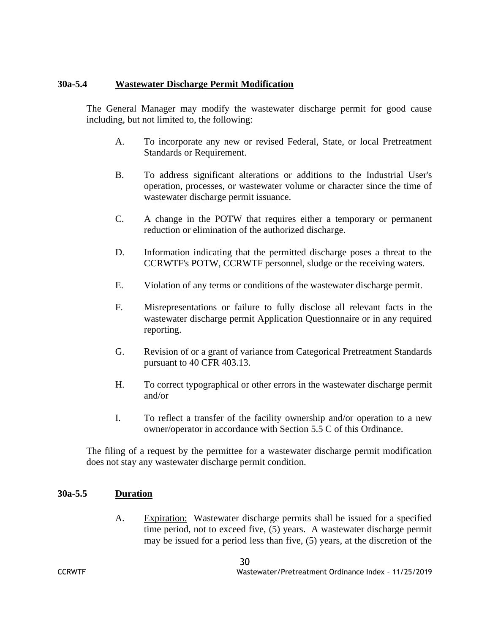#### **30a-5.4 Wastewater Discharge Permit Modification**

The General Manager may modify the wastewater discharge permit for good cause including, but not limited to, the following:

- A. To incorporate any new or revised Federal, State, or local Pretreatment Standards or Requirement.
- B. To address significant alterations or additions to the Industrial User's operation, processes, or wastewater volume or character since the time of wastewater discharge permit issuance.
- C. A change in the POTW that requires either a temporary or permanent reduction or elimination of the authorized discharge.
- D. Information indicating that the permitted discharge poses a threat to the CCRWTF's POTW, CCRWTF personnel, sludge or the receiving waters.
- E. Violation of any terms or conditions of the wastewater discharge permit.
- F. Misrepresentations or failure to fully disclose all relevant facts in the wastewater discharge permit Application Questionnaire or in any required reporting.
- G. Revision of or a grant of variance from Categorical Pretreatment Standards pursuant to 40 CFR 403.13.
- H. To correct typographical or other errors in the wastewater discharge permit and/or
- I. To reflect a transfer of the facility ownership and/or operation to a new owner/operator in accordance with Section 5.5 C of this Ordinance.

The filing of a request by the permittee for a wastewater discharge permit modification does not stay any wastewater discharge permit condition.

#### **30a-5.5 Duration**

A. Expiration: Wastewater discharge permits shall be issued for a specified time period, not to exceed five, (5) years. A wastewater discharge permit may be issued for a period less than five, (5) years, at the discretion of the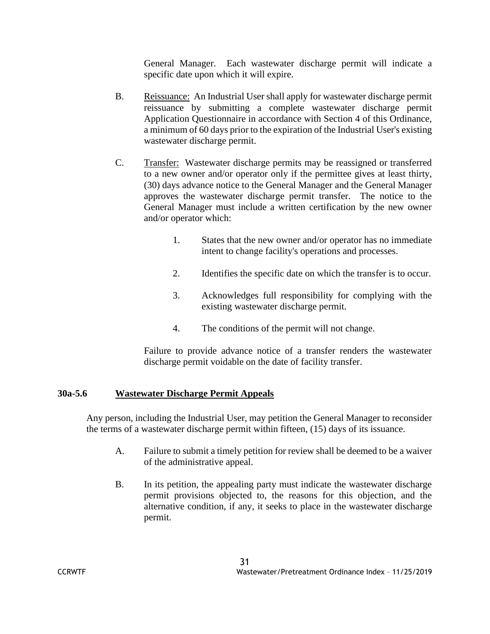General Manager. Each wastewater discharge permit will indicate a specific date upon which it will expire.

- B. Reissuance: An Industrial User shall apply for wastewater discharge permit reissuance by submitting a complete wastewater discharge permit Application Questionnaire in accordance with Section 4 of this Ordinance, a minimum of 60 days prior to the expiration of the Industrial User's existing wastewater discharge permit.
- C. Transfer: Wastewater discharge permits may be reassigned or transferred to a new owner and/or operator only if the permittee gives at least thirty, (30) days advance notice to the General Manager and the General Manager approves the wastewater discharge permit transfer. The notice to the General Manager must include a written certification by the new owner and/or operator which:
	- 1. States that the new owner and/or operator has no immediate intent to change facility's operations and processes.
	- 2. Identifies the specific date on which the transfer is to occur.
	- 3. Acknowledges full responsibility for complying with the existing wastewater discharge permit.
	- 4. The conditions of the permit will not change.

Failure to provide advance notice of a transfer renders the wastewater discharge permit voidable on the date of facility transfer.

# **30a-5.6 Wastewater Discharge Permit Appeals**

Any person, including the Industrial User, may petition the General Manager to reconsider the terms of a wastewater discharge permit within fifteen, (15) days of its issuance.

- A. Failure to submit a timely petition for review shall be deemed to be a waiver of the administrative appeal.
- B. In its petition, the appealing party must indicate the wastewater discharge permit provisions objected to, the reasons for this objection, and the alternative condition, if any, it seeks to place in the wastewater discharge permit.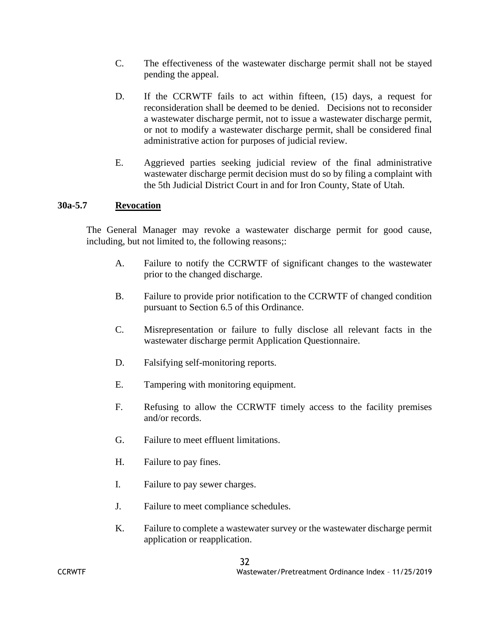- C. The effectiveness of the wastewater discharge permit shall not be stayed pending the appeal.
- D. If the CCRWTF fails to act within fifteen, (15) days, a request for reconsideration shall be deemed to be denied. Decisions not to reconsider a wastewater discharge permit, not to issue a wastewater discharge permit, or not to modify a wastewater discharge permit, shall be considered final administrative action for purposes of judicial review.
- E. Aggrieved parties seeking judicial review of the final administrative wastewater discharge permit decision must do so by filing a complaint with the 5th Judicial District Court in and for Iron County, State of Utah.

#### **30a-5.7 Revocation**

The General Manager may revoke a wastewater discharge permit for good cause, including, but not limited to, the following reasons;:

- A. Failure to notify the CCRWTF of significant changes to the wastewater prior to the changed discharge.
- B. Failure to provide prior notification to the CCRWTF of changed condition pursuant to Section 6.5 of this Ordinance.
- C. Misrepresentation or failure to fully disclose all relevant facts in the wastewater discharge permit Application Questionnaire.
- D. Falsifying self-monitoring reports.
- E. Tampering with monitoring equipment.
- F. Refusing to allow the CCRWTF timely access to the facility premises and/or records.
- G. Failure to meet effluent limitations.
- H. Failure to pay fines.
- I. Failure to pay sewer charges.
- J. Failure to meet compliance schedules.
- K. Failure to complete a wastewater survey or the wastewater discharge permit application or reapplication.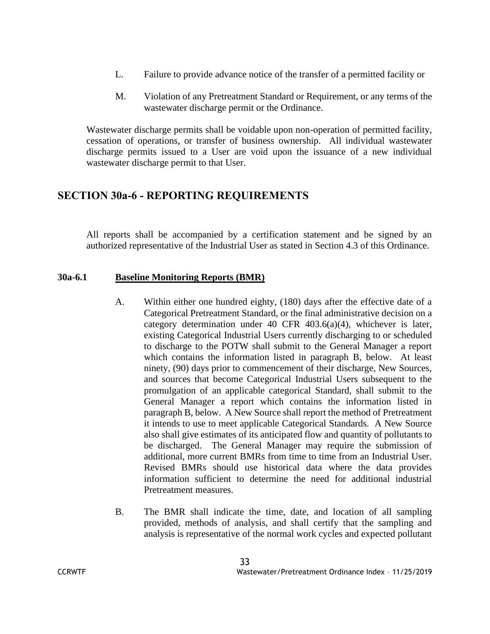- L. Failure to provide advance notice of the transfer of a permitted facility or
- M. Violation of any Pretreatment Standard or Requirement, or any terms of the wastewater discharge permit or the Ordinance.

Wastewater discharge permits shall be voidable upon non-operation of permitted facility, cessation of operations, or transfer of business ownership. All individual wastewater discharge permits issued to a User are void upon the issuance of a new individual wastewater discharge permit to that User.

# **SECTION 30a-6 - REPORTING REQUIREMENTS**

All reports shall be accompanied by a certification statement and be signed by an authorized representative of the Industrial User as stated in Section 4.3 of this Ordinance.

# **30a-6.1 Baseline Monitoring Reports (BMR)**

- A. Within either one hundred eighty, (180) days after the effective date of a Categorical Pretreatment Standard, or the final administrative decision on a category determination under 40 CFR 403.6(a)(4), whichever is later, existing Categorical Industrial Users currently discharging to or scheduled to discharge to the POTW shall submit to the General Manager a report which contains the information listed in paragraph B, below. At least ninety, (90) days prior to commencement of their discharge, New Sources, and sources that become Categorical Industrial Users subsequent to the promulgation of an applicable categorical Standard, shall submit to the General Manager a report which contains the information listed in paragraph B, below. A New Source shall report the method of Pretreatment it intends to use to meet applicable Categorical Standards. A New Source also shall give estimates of its anticipated flow and quantity of pollutants to be discharged. The General Manager may require the submission of additional, more current BMRs from time to time from an Industrial User. Revised BMRs should use historical data where the data provides information sufficient to determine the need for additional industrial Pretreatment measures.
- B. The BMR shall indicate the time, date, and location of all sampling provided, methods of analysis, and shall certify that the sampling and analysis is representative of the normal work cycles and expected pollutant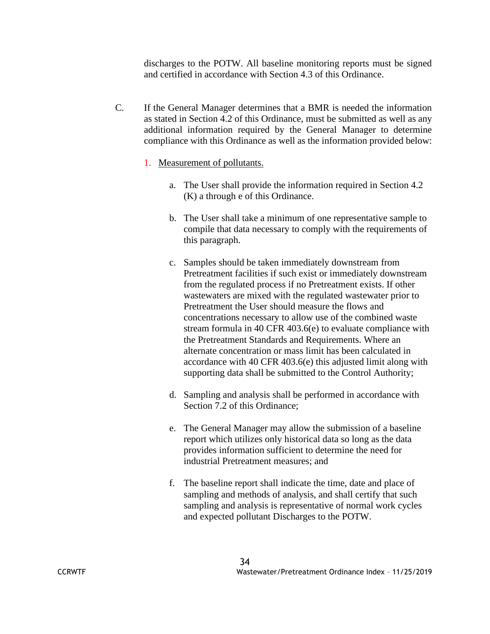discharges to the POTW. All baseline monitoring reports must be signed and certified in accordance with Section 4.3 of this Ordinance.

C. If the General Manager determines that a BMR is needed the information as stated in Section 4.2 of this Ordinance, must be submitted as well as any additional information required by the General Manager to determine compliance with this Ordinance as well as the information provided below:

## 1. Measurement of pollutants.

- a. The User shall provide the information required in Section 4.2 (K) a through e of this Ordinance.
- b. The User shall take a minimum of one representative sample to compile that data necessary to comply with the requirements of this paragraph.
- c. Samples should be taken immediately downstream from Pretreatment facilities if such exist or immediately downstream from the regulated process if no Pretreatment exists. If other wastewaters are mixed with the regulated wastewater prior to Pretreatment the User should measure the flows and concentrations necessary to allow use of the combined waste stream formula in 40 CFR 403.6(e) to evaluate compliance with the Pretreatment Standards and Requirements. Where an alternate concentration or mass limit has been calculated in accordance with 40 CFR 403.6(e) this adjusted limit along with supporting data shall be submitted to the Control Authority;
- d. Sampling and analysis shall be performed in accordance with Section 7.2 of this Ordinance;
- e. The General Manager may allow the submission of a baseline report which utilizes only historical data so long as the data provides information sufficient to determine the need for industrial Pretreatment measures; and
- f. The baseline report shall indicate the time, date and place of sampling and methods of analysis, and shall certify that such sampling and analysis is representative of normal work cycles and expected pollutant Discharges to the POTW.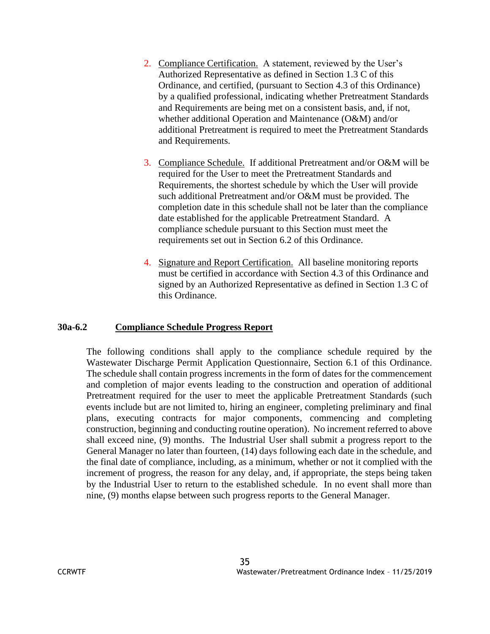- 2. Compliance Certification. A statement, reviewed by the User's Authorized Representative as defined in Section 1.3 C of this Ordinance, and certified, (pursuant to Section 4.3 of this Ordinance) by a qualified professional, indicating whether Pretreatment Standards and Requirements are being met on a consistent basis, and, if not, whether additional Operation and Maintenance (O&M) and/or additional Pretreatment is required to meet the Pretreatment Standards and Requirements.
- 3. Compliance Schedule. If additional Pretreatment and/or O&M will be required for the User to meet the Pretreatment Standards and Requirements, the shortest schedule by which the User will provide such additional Pretreatment and/or O&M must be provided. The completion date in this schedule shall not be later than the compliance date established for the applicable Pretreatment Standard. A compliance schedule pursuant to this Section must meet the requirements set out in Section 6.2 of this Ordinance.
- 4. Signature and Report Certification. All baseline monitoring reports must be certified in accordance with Section 4.3 of this Ordinance and signed by an Authorized Representative as defined in Section 1.3 C of this Ordinance.

# **30a-6.2 Compliance Schedule Progress Report**

The following conditions shall apply to the compliance schedule required by the Wastewater Discharge Permit Application Questionnaire, Section 6.1 of this Ordinance. The schedule shall contain progress increments in the form of dates for the commencement and completion of major events leading to the construction and operation of additional Pretreatment required for the user to meet the applicable Pretreatment Standards (such events include but are not limited to, hiring an engineer, completing preliminary and final plans, executing contracts for major components, commencing and completing construction, beginning and conducting routine operation). No increment referred to above shall exceed nine, (9) months. The Industrial User shall submit a progress report to the General Manager no later than fourteen, (14) days following each date in the schedule, and the final date of compliance, including, as a minimum, whether or not it complied with the increment of progress, the reason for any delay, and, if appropriate, the steps being taken by the Industrial User to return to the established schedule. In no event shall more than nine, (9) months elapse between such progress reports to the General Manager.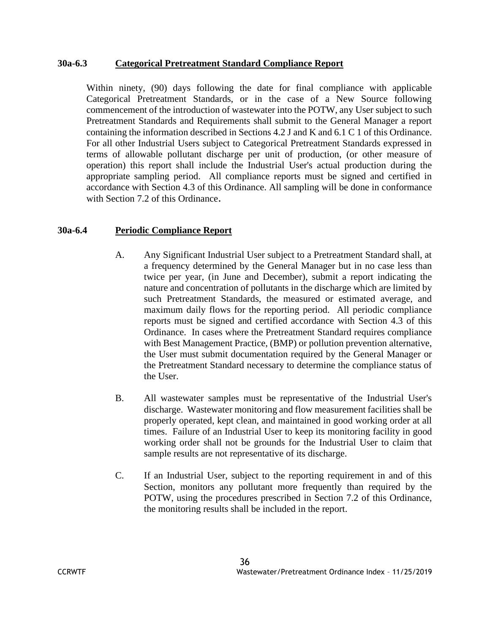#### **30a-6.3 Categorical Pretreatment Standard Compliance Report**

Within ninety, (90) days following the date for final compliance with applicable Categorical Pretreatment Standards, or in the case of a New Source following commencement of the introduction of wastewater into the POTW, any User subject to such Pretreatment Standards and Requirements shall submit to the General Manager a report containing the information described in Sections 4.2 J and K and 6.1 C 1 of this Ordinance. For all other Industrial Users subject to Categorical Pretreatment Standards expressed in terms of allowable pollutant discharge per unit of production, (or other measure of operation) this report shall include the Industrial User's actual production during the appropriate sampling period. All compliance reports must be signed and certified in accordance with Section 4.3 of this Ordinance. All sampling will be done in conformance with Section 7.2 of this Ordinance.

# **30a-6.4 Periodic Compliance Report**

- A. Any Significant Industrial User subject to a Pretreatment Standard shall, at a frequency determined by the General Manager but in no case less than twice per year, (in June and December), submit a report indicating the nature and concentration of pollutants in the discharge which are limited by such Pretreatment Standards, the measured or estimated average, and maximum daily flows for the reporting period. All periodic compliance reports must be signed and certified accordance with Section 4.3 of this Ordinance. In cases where the Pretreatment Standard requires compliance with Best Management Practice, (BMP) or pollution prevention alternative, the User must submit documentation required by the General Manager or the Pretreatment Standard necessary to determine the compliance status of the User.
- B. All wastewater samples must be representative of the Industrial User's discharge. Wastewater monitoring and flow measurement facilities shall be properly operated, kept clean, and maintained in good working order at all times. Failure of an Industrial User to keep its monitoring facility in good working order shall not be grounds for the Industrial User to claim that sample results are not representative of its discharge.
- C. If an Industrial User, subject to the reporting requirement in and of this Section, monitors any pollutant more frequently than required by the POTW, using the procedures prescribed in Section 7.2 of this Ordinance, the monitoring results shall be included in the report.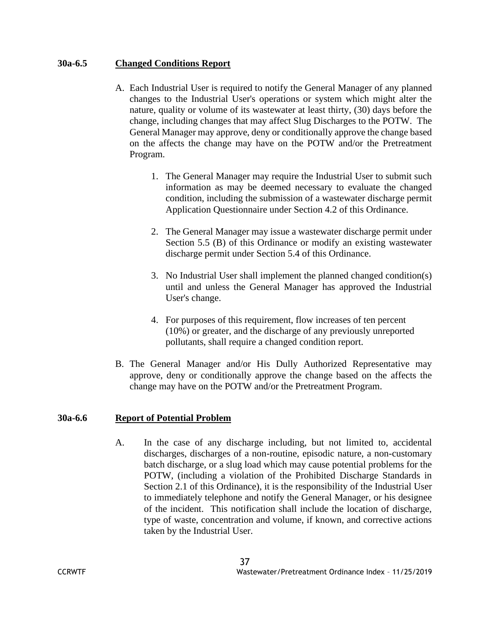## **30a-6.5 Changed Conditions Report**

- A. Each Industrial User is required to notify the General Manager of any planned changes to the Industrial User's operations or system which might alter the nature, quality or volume of its wastewater at least thirty, (30) days before the change, including changes that may affect Slug Discharges to the POTW. The General Manager may approve, deny or conditionally approve the change based on the affects the change may have on the POTW and/or the Pretreatment Program.
	- 1. The General Manager may require the Industrial User to submit such information as may be deemed necessary to evaluate the changed condition, including the submission of a wastewater discharge permit Application Questionnaire under Section 4.2 of this Ordinance.
	- 2. The General Manager may issue a wastewater discharge permit under Section 5.5 (B) of this Ordinance or modify an existing wastewater discharge permit under Section 5.4 of this Ordinance.
	- 3. No Industrial User shall implement the planned changed condition(s) until and unless the General Manager has approved the Industrial User's change.
	- 4. For purposes of this requirement, flow increases of ten percent (10%) or greater, and the discharge of any previously unreported pollutants, shall require a changed condition report.
- B. The General Manager and/or His Dully Authorized Representative may approve, deny or conditionally approve the change based on the affects the change may have on the POTW and/or the Pretreatment Program.

#### **30a-6.6 Report of Potential Problem**

A. In the case of any discharge including, but not limited to, accidental discharges, discharges of a non-routine, episodic nature, a non-customary batch discharge, or a slug load which may cause potential problems for the POTW, (including a violation of the Prohibited Discharge Standards in Section 2.1 of this Ordinance), it is the responsibility of the Industrial User to immediately telephone and notify the General Manager, or his designee of the incident. This notification shall include the location of discharge, type of waste, concentration and volume, if known, and corrective actions taken by the Industrial User.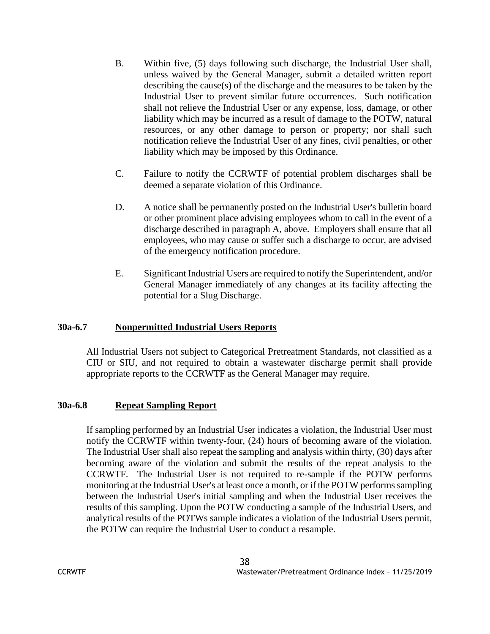- B. Within five, (5) days following such discharge, the Industrial User shall, unless waived by the General Manager, submit a detailed written report describing the cause(s) of the discharge and the measures to be taken by the Industrial User to prevent similar future occurrences. Such notification shall not relieve the Industrial User or any expense, loss, damage, or other liability which may be incurred as a result of damage to the POTW, natural resources, or any other damage to person or property; nor shall such notification relieve the Industrial User of any fines, civil penalties, or other liability which may be imposed by this Ordinance.
- C. Failure to notify the CCRWTF of potential problem discharges shall be deemed a separate violation of this Ordinance.
- D. A notice shall be permanently posted on the Industrial User's bulletin board or other prominent place advising employees whom to call in the event of a discharge described in paragraph A, above. Employers shall ensure that all employees, who may cause or suffer such a discharge to occur, are advised of the emergency notification procedure.
- E. Significant Industrial Users are required to notify the Superintendent, and/or General Manager immediately of any changes at its facility affecting the potential for a Slug Discharge.

# **30a-6.7 Nonpermitted Industrial Users Reports**

All Industrial Users not subject to Categorical Pretreatment Standards, not classified as a CIU or SIU, and not required to obtain a wastewater discharge permit shall provide appropriate reports to the CCRWTF as the General Manager may require.

#### **30a-6.8 Repeat Sampling Report**

If sampling performed by an Industrial User indicates a violation, the Industrial User must notify the CCRWTF within twenty-four, (24) hours of becoming aware of the violation. The Industrial User shall also repeat the sampling and analysis within thirty, (30) days after becoming aware of the violation and submit the results of the repeat analysis to the CCRWTF. The Industrial User is not required to re-sample if the POTW performs monitoring at the Industrial User's at least once a month, or if the POTW performs sampling between the Industrial User's initial sampling and when the Industrial User receives the results of this sampling. Upon the POTW conducting a sample of the Industrial Users, and analytical results of the POTWs sample indicates a violation of the Industrial Users permit, the POTW can require the Industrial User to conduct a resample.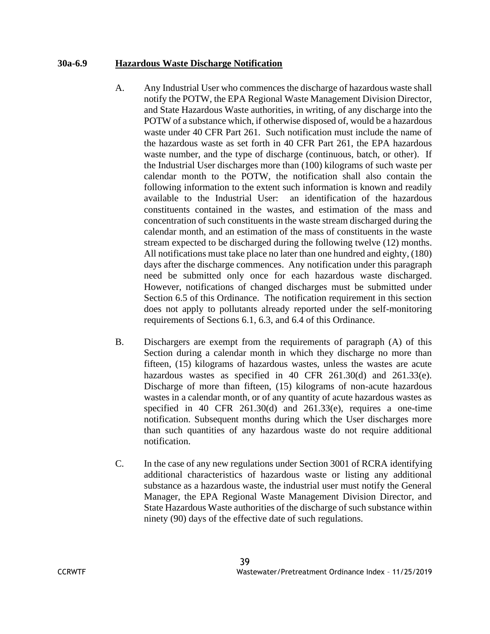#### **30a-6.9 Hazardous Waste Discharge Notification**

- A. Any Industrial User who commences the discharge of hazardous waste shall notify the POTW, the EPA Regional Waste Management Division Director, and State Hazardous Waste authorities, in writing, of any discharge into the POTW of a substance which, if otherwise disposed of, would be a hazardous waste under 40 CFR Part 261. Such notification must include the name of the hazardous waste as set forth in 40 CFR Part 261, the EPA hazardous waste number, and the type of discharge (continuous, batch, or other). If the Industrial User discharges more than (100) kilograms of such waste per calendar month to the POTW, the notification shall also contain the following information to the extent such information is known and readily available to the Industrial User: an identification of the hazardous constituents contained in the wastes, and estimation of the mass and concentration of such constituents in the waste stream discharged during the calendar month, and an estimation of the mass of constituents in the waste stream expected to be discharged during the following twelve (12) months. All notifications must take place no later than one hundred and eighty, (180) days after the discharge commences. Any notification under this paragraph need be submitted only once for each hazardous waste discharged. However, notifications of changed discharges must be submitted under Section 6.5 of this Ordinance. The notification requirement in this section does not apply to pollutants already reported under the self-monitoring requirements of Sections 6.1, 6.3, and 6.4 of this Ordinance.
- B. Dischargers are exempt from the requirements of paragraph (A) of this Section during a calendar month in which they discharge no more than fifteen, (15) kilograms of hazardous wastes, unless the wastes are acute hazardous wastes as specified in 40 CFR 261.30(d) and 261.33(e). Discharge of more than fifteen, (15) kilograms of non-acute hazardous wastes in a calendar month, or of any quantity of acute hazardous wastes as specified in 40 CFR 261.30(d) and 261.33(e), requires a one-time notification. Subsequent months during which the User discharges more than such quantities of any hazardous waste do not require additional notification.
- C. In the case of any new regulations under Section 3001 of RCRA identifying additional characteristics of hazardous waste or listing any additional substance as a hazardous waste, the industrial user must notify the General Manager, the EPA Regional Waste Management Division Director, and State Hazardous Waste authorities of the discharge of such substance within ninety (90) days of the effective date of such regulations.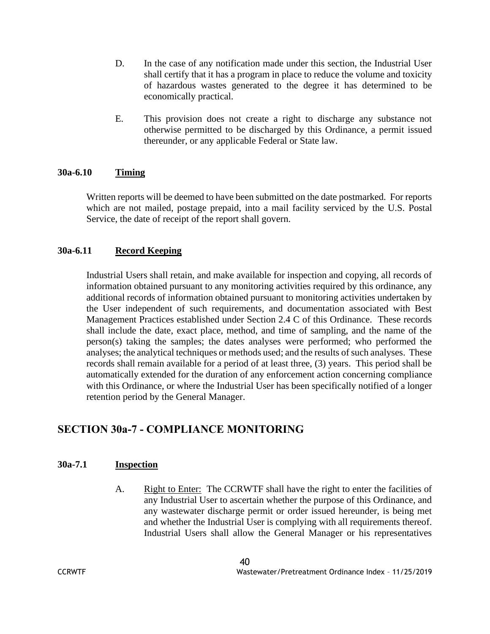- D. In the case of any notification made under this section, the Industrial User shall certify that it has a program in place to reduce the volume and toxicity of hazardous wastes generated to the degree it has determined to be economically practical.
- E. This provision does not create a right to discharge any substance not otherwise permitted to be discharged by this Ordinance, a permit issued thereunder, or any applicable Federal or State law.

#### **30a-6.10 Timing**

Written reports will be deemed to have been submitted on the date postmarked. For reports which are not mailed, postage prepaid, into a mail facility serviced by the U.S. Postal Service, the date of receipt of the report shall govern.

# **30a-6.11 Record Keeping**

Industrial Users shall retain, and make available for inspection and copying, all records of information obtained pursuant to any monitoring activities required by this ordinance, any additional records of information obtained pursuant to monitoring activities undertaken by the User independent of such requirements, and documentation associated with Best Management Practices established under Section 2.4 C of this Ordinance. These records shall include the date, exact place, method, and time of sampling, and the name of the person(s) taking the samples; the dates analyses were performed; who performed the analyses; the analytical techniques or methods used; and the results of such analyses. These records shall remain available for a period of at least three, (3) years. This period shall be automatically extended for the duration of any enforcement action concerning compliance with this Ordinance, or where the Industrial User has been specifically notified of a longer retention period by the General Manager.

# **SECTION 30a-7 - COMPLIANCE MONITORING**

#### **30a-7.1 Inspection**

A. Right to Enter: The CCRWTF shall have the right to enter the facilities of any Industrial User to ascertain whether the purpose of this Ordinance, and any wastewater discharge permit or order issued hereunder, is being met and whether the Industrial User is complying with all requirements thereof. Industrial Users shall allow the General Manager or his representatives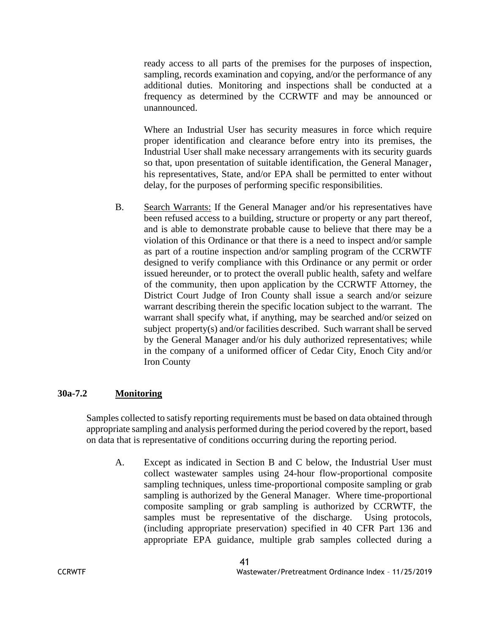ready access to all parts of the premises for the purposes of inspection, sampling, records examination and copying, and/or the performance of any additional duties. Monitoring and inspections shall be conducted at a frequency as determined by the CCRWTF and may be announced or unannounced.

Where an Industrial User has security measures in force which require proper identification and clearance before entry into its premises, the Industrial User shall make necessary arrangements with its security guards so that, upon presentation of suitable identification, the General Manager, his representatives, State, and/or EPA shall be permitted to enter without delay, for the purposes of performing specific responsibilities.

B. Search Warrants: If the General Manager and/or his representatives have been refused access to a building, structure or property or any part thereof, and is able to demonstrate probable cause to believe that there may be a violation of this Ordinance or that there is a need to inspect and/or sample as part of a routine inspection and/or sampling program of the CCRWTF designed to verify compliance with this Ordinance or any permit or order issued hereunder, or to protect the overall public health, safety and welfare of the community, then upon application by the CCRWTF Attorney, the District Court Judge of Iron County shall issue a search and/or seizure warrant describing therein the specific location subject to the warrant. The warrant shall specify what, if anything, may be searched and/or seized on subject property(s) and/or facilities described. Such warrant shall be served by the General Manager and/or his duly authorized representatives; while in the company of a uniformed officer of Cedar City, Enoch City and/or Iron County

# **30a-7.2 Monitoring**

Samples collected to satisfy reporting requirements must be based on data obtained through appropriate sampling and analysis performed during the period covered by the report, based on data that is representative of conditions occurring during the reporting period.

A. Except as indicated in Section B and C below, the Industrial User must collect wastewater samples using 24-hour flow-proportional composite sampling techniques, unless time-proportional composite sampling or grab sampling is authorized by the General Manager. Where time-proportional composite sampling or grab sampling is authorized by CCRWTF, the samples must be representative of the discharge. Using protocols, (including appropriate preservation) specified in 40 CFR Part 136 and appropriate EPA guidance, multiple grab samples collected during a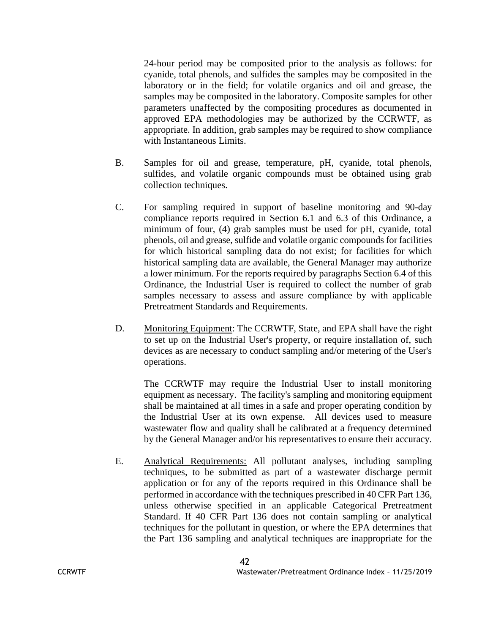24-hour period may be composited prior to the analysis as follows: for cyanide, total phenols, and sulfides the samples may be composited in the laboratory or in the field; for volatile organics and oil and grease, the samples may be composited in the laboratory. Composite samples for other parameters unaffected by the compositing procedures as documented in approved EPA methodologies may be authorized by the CCRWTF, as appropriate. In addition, grab samples may be required to show compliance with Instantaneous Limits.

- B. Samples for oil and grease, temperature, pH, cyanide, total phenols, sulfides, and volatile organic compounds must be obtained using grab collection techniques.
- C. For sampling required in support of baseline monitoring and 90-day compliance reports required in Section 6.1 and 6.3 of this Ordinance, a minimum of four, (4) grab samples must be used for pH, cyanide, total phenols, oil and grease, sulfide and volatile organic compounds for facilities for which historical sampling data do not exist; for facilities for which historical sampling data are available, the General Manager may authorize a lower minimum. For the reports required by paragraphs Section 6.4 of this Ordinance, the Industrial User is required to collect the number of grab samples necessary to assess and assure compliance by with applicable Pretreatment Standards and Requirements.
- D. Monitoring Equipment: The CCRWTF, State, and EPA shall have the right to set up on the Industrial User's property, or require installation of, such devices as are necessary to conduct sampling and/or metering of the User's operations.

The CCRWTF may require the Industrial User to install monitoring equipment as necessary. The facility's sampling and monitoring equipment shall be maintained at all times in a safe and proper operating condition by the Industrial User at its own expense. All devices used to measure wastewater flow and quality shall be calibrated at a frequency determined by the General Manager and/or his representatives to ensure their accuracy.

E. Analytical Requirements: All pollutant analyses, including sampling techniques, to be submitted as part of a wastewater discharge permit application or for any of the reports required in this Ordinance shall be performed in accordance with the techniques prescribed in 40 CFR Part 136, unless otherwise specified in an applicable Categorical Pretreatment Standard. If 40 CFR Part 136 does not contain sampling or analytical techniques for the pollutant in question, or where the EPA determines that the Part 136 sampling and analytical techniques are inappropriate for the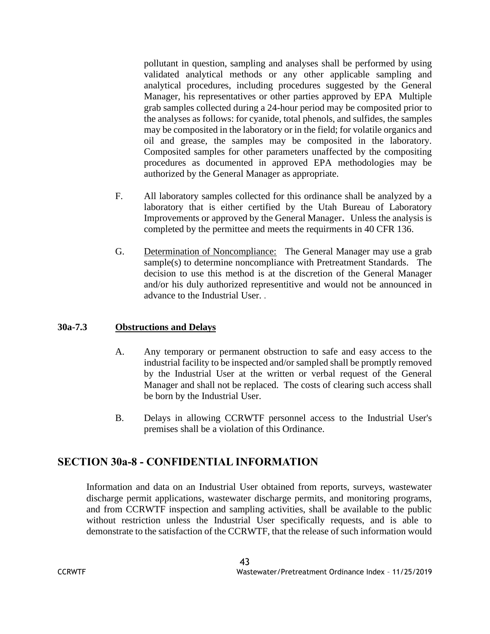pollutant in question, sampling and analyses shall be performed by using validated analytical methods or any other applicable sampling and analytical procedures, including procedures suggested by the General Manager, his representatives or other parties approved by EPA Multiple grab samples collected during a 24-hour period may be composited prior to the analyses as follows: for cyanide, total phenols, and sulfides, the samples may be composited in the laboratory or in the field; for volatile organics and oil and grease, the samples may be composited in the laboratory. Composited samples for other parameters unaffected by the compositing procedures as documented in approved EPA methodologies may be authorized by the General Manager as appropriate.

- F. All laboratory samples collected for this ordinance shall be analyzed by a laboratory that is either certified by the Utah Bureau of Laboratory Improvements or approved by the General Manager. Unless the analysis is completed by the permittee and meets the requirments in 40 CFR 136.
- G. Determination of Noncompliance: The General Manager may use a grab sample(s) to determine noncompliance with Pretreatment Standards. The decision to use this method is at the discretion of the General Manager and/or his duly authorized representitive and would not be announced in advance to the Industrial User. .

# **30a-7.3 Obstructions and Delays**

- A. Any temporary or permanent obstruction to safe and easy access to the industrial facility to be inspected and/or sampled shall be promptly removed by the Industrial User at the written or verbal request of the General Manager and shall not be replaced. The costs of clearing such access shall be born by the Industrial User.
- B. Delays in allowing CCRWTF personnel access to the Industrial User's premises shall be a violation of this Ordinance.

# **SECTION 30a-8 - CONFIDENTIAL INFORMATION**

Information and data on an Industrial User obtained from reports, surveys, wastewater discharge permit applications, wastewater discharge permits, and monitoring programs, and from CCRWTF inspection and sampling activities, shall be available to the public without restriction unless the Industrial User specifically requests, and is able to demonstrate to the satisfaction of the CCRWTF, that the release of such information would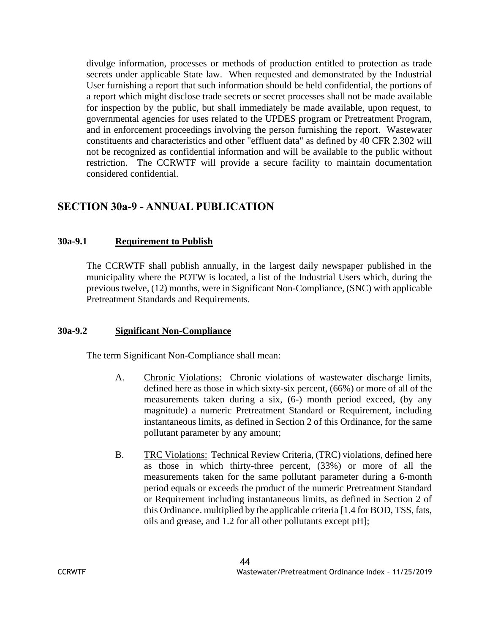divulge information, processes or methods of production entitled to protection as trade secrets under applicable State law. When requested and demonstrated by the Industrial User furnishing a report that such information should be held confidential, the portions of a report which might disclose trade secrets or secret processes shall not be made available for inspection by the public, but shall immediately be made available, upon request, to governmental agencies for uses related to the UPDES program or Pretreatment Program, and in enforcement proceedings involving the person furnishing the report. Wastewater constituents and characteristics and other "effluent data" as defined by 40 CFR 2.302 will not be recognized as confidential information and will be available to the public without restriction. The CCRWTF will provide a secure facility to maintain documentation considered confidential.

# **SECTION 30a-9 - ANNUAL PUBLICATION**

# **30a-9.1 Requirement to Publish**

The CCRWTF shall publish annually, in the largest daily newspaper published in the municipality where the POTW is located, a list of the Industrial Users which, during the previous twelve, (12) months, were in Significant Non-Compliance, (SNC) with applicable Pretreatment Standards and Requirements.

# **30a-9.2 Significant Non-Compliance**

The term Significant Non-Compliance shall mean:

- A. Chronic Violations: Chronic violations of wastewater discharge limits, defined here as those in which sixty-six percent, (66%) or more of all of the measurements taken during a six, (6-) month period exceed, (by any magnitude) a numeric Pretreatment Standard or Requirement, including instantaneous limits, as defined in Section 2 of this Ordinance, for the same pollutant parameter by any amount;
- B. TRC Violations: Technical Review Criteria, (TRC) violations, defined here as those in which thirty-three percent, (33%) or more of all the measurements taken for the same pollutant parameter during a 6-month period equals or exceeds the product of the numeric Pretreatment Standard or Requirement including instantaneous limits, as defined in Section 2 of this Ordinance. multiplied by the applicable criteria [1.4 for BOD, TSS, fats, oils and grease, and 1.2 for all other pollutants except pH];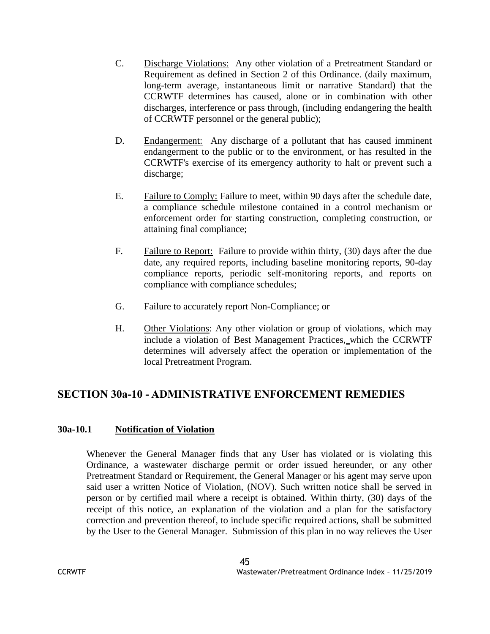- C. Discharge Violations: Any other violation of a Pretreatment Standard or Requirement as defined in Section 2 of this Ordinance. (daily maximum, long-term average, instantaneous limit or narrative Standard) that the CCRWTF determines has caused, alone or in combination with other discharges, interference or pass through, (including endangering the health of CCRWTF personnel or the general public);
- D. Endangerment: Any discharge of a pollutant that has caused imminent endangerment to the public or to the environment, or has resulted in the CCRWTF's exercise of its emergency authority to halt or prevent such a discharge;
- E. Failure to Comply: Failure to meet, within 90 days after the schedule date, a compliance schedule milestone contained in a control mechanism or enforcement order for starting construction, completing construction, or attaining final compliance;
- F. Failure to Report: Failure to provide within thirty, (30) days after the due date, any required reports, including baseline monitoring reports, 90-day compliance reports, periodic self-monitoring reports, and reports on compliance with compliance schedules;
- G. Failure to accurately report Non-Compliance; or
- H. Other Violations: Any other violation or group of violations, which may include a violation of Best Management Practices, which the CCRWTF determines will adversely affect the operation or implementation of the local Pretreatment Program.

# **SECTION 30a-10 - ADMINISTRATIVE ENFORCEMENT REMEDIES**

# **30a-10.1 Notification of Violation**

Whenever the General Manager finds that any User has violated or is violating this Ordinance, a wastewater discharge permit or order issued hereunder, or any other Pretreatment Standard or Requirement, the General Manager or his agent may serve upon said user a written Notice of Violation, (NOV). Such written notice shall be served in person or by certified mail where a receipt is obtained. Within thirty, (30) days of the receipt of this notice, an explanation of the violation and a plan for the satisfactory correction and prevention thereof, to include specific required actions, shall be submitted by the User to the General Manager. Submission of this plan in no way relieves the User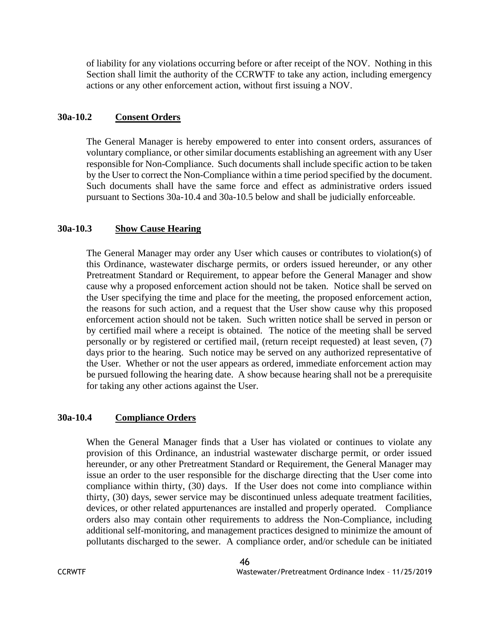of liability for any violations occurring before or after receipt of the NOV. Nothing in this Section shall limit the authority of the CCRWTF to take any action, including emergency actions or any other enforcement action, without first issuing a NOV.

#### **30a-10.2 Consent Orders**

The General Manager is hereby empowered to enter into consent orders, assurances of voluntary compliance, or other similar documents establishing an agreement with any User responsible for Non-Compliance. Such documents shall include specific action to be taken by the User to correct the Non-Compliance within a time period specified by the document. Such documents shall have the same force and effect as administrative orders issued pursuant to Sections 30a-10.4 and 30a-10.5 below and shall be judicially enforceable.

#### **30a-10.3 Show Cause Hearing**

The General Manager may order any User which causes or contributes to violation(s) of this Ordinance, wastewater discharge permits, or orders issued hereunder, or any other Pretreatment Standard or Requirement, to appear before the General Manager and show cause why a proposed enforcement action should not be taken. Notice shall be served on the User specifying the time and place for the meeting, the proposed enforcement action, the reasons for such action, and a request that the User show cause why this proposed enforcement action should not be taken. Such written notice shall be served in person or by certified mail where a receipt is obtained. The notice of the meeting shall be served personally or by registered or certified mail, (return receipt requested) at least seven, (7) days prior to the hearing. Such notice may be served on any authorized representative of the User. Whether or not the user appears as ordered, immediate enforcement action may be pursued following the hearing date. A show because hearing shall not be a prerequisite for taking any other actions against the User.

#### **30a-10.4 Compliance Orders**

When the General Manager finds that a User has violated or continues to violate any provision of this Ordinance, an industrial wastewater discharge permit, or order issued hereunder, or any other Pretreatment Standard or Requirement, the General Manager may issue an order to the user responsible for the discharge directing that the User come into compliance within thirty, (30) days. If the User does not come into compliance within thirty, (30) days, sewer service may be discontinued unless adequate treatment facilities, devices, or other related appurtenances are installed and properly operated. Compliance orders also may contain other requirements to address the Non-Compliance, including additional self-monitoring, and management practices designed to minimize the amount of pollutants discharged to the sewer. A compliance order, and/or schedule can be initiated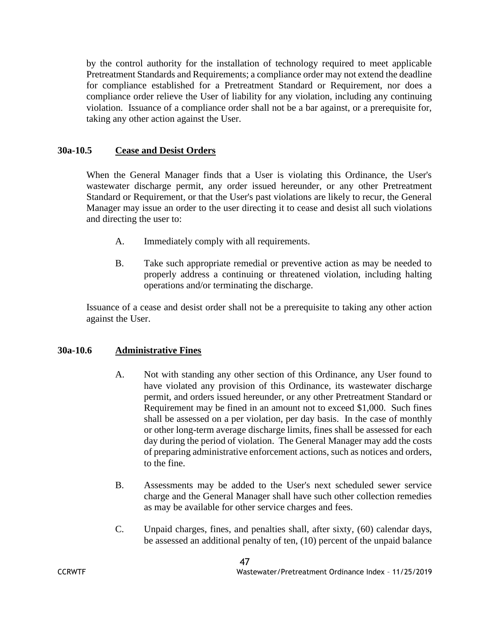by the control authority for the installation of technology required to meet applicable Pretreatment Standards and Requirements; a compliance order may not extend the deadline for compliance established for a Pretreatment Standard or Requirement, nor does a compliance order relieve the User of liability for any violation, including any continuing violation. Issuance of a compliance order shall not be a bar against, or a prerequisite for, taking any other action against the User.

# **30a-10.5 Cease and Desist Orders**

When the General Manager finds that a User is violating this Ordinance, the User's wastewater discharge permit, any order issued hereunder, or any other Pretreatment Standard or Requirement, or that the User's past violations are likely to recur, the General Manager may issue an order to the user directing it to cease and desist all such violations and directing the user to:

- A. Immediately comply with all requirements.
- B. Take such appropriate remedial or preventive action as may be needed to properly address a continuing or threatened violation, including halting operations and/or terminating the discharge.

Issuance of a cease and desist order shall not be a prerequisite to taking any other action against the User.

# **30a-10.6 Administrative Fines**

- A. Not with standing any other section of this Ordinance, any User found to have violated any provision of this Ordinance, its wastewater discharge permit, and orders issued hereunder, or any other Pretreatment Standard or Requirement may be fined in an amount not to exceed \$1,000. Such fines shall be assessed on a per violation, per day basis. In the case of monthly or other long-term average discharge limits, fines shall be assessed for each day during the period of violation. The General Manager may add the costs of preparing administrative enforcement actions, such as notices and orders, to the fine.
- B. Assessments may be added to the User's next scheduled sewer service charge and the General Manager shall have such other collection remedies as may be available for other service charges and fees.
- C. Unpaid charges, fines, and penalties shall, after sixty, (60) calendar days, be assessed an additional penalty of ten, (10) percent of the unpaid balance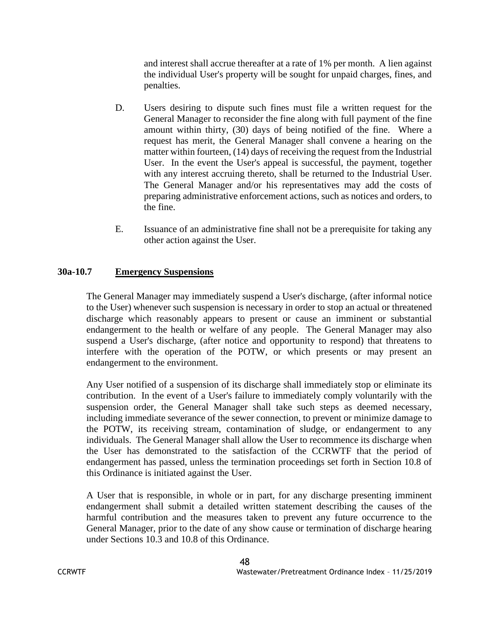and interest shall accrue thereafter at a rate of 1% per month. A lien against the individual User's property will be sought for unpaid charges, fines, and penalties.

- D. Users desiring to dispute such fines must file a written request for the General Manager to reconsider the fine along with full payment of the fine amount within thirty, (30) days of being notified of the fine. Where a request has merit, the General Manager shall convene a hearing on the matter within fourteen, (14) days of receiving the request from the Industrial User. In the event the User's appeal is successful, the payment, together with any interest accruing thereto, shall be returned to the Industrial User. The General Manager and/or his representatives may add the costs of preparing administrative enforcement actions, such as notices and orders, to the fine.
- E. Issuance of an administrative fine shall not be a prerequisite for taking any other action against the User.

# **30a-10.7 Emergency Suspensions**

The General Manager may immediately suspend a User's discharge, (after informal notice to the User) whenever such suspension is necessary in order to stop an actual or threatened discharge which reasonably appears to present or cause an imminent or substantial endangerment to the health or welfare of any people. The General Manager may also suspend a User's discharge, (after notice and opportunity to respond) that threatens to interfere with the operation of the POTW, or which presents or may present an endangerment to the environment.

Any User notified of a suspension of its discharge shall immediately stop or eliminate its contribution. In the event of a User's failure to immediately comply voluntarily with the suspension order, the General Manager shall take such steps as deemed necessary, including immediate severance of the sewer connection, to prevent or minimize damage to the POTW, its receiving stream, contamination of sludge, or endangerment to any individuals. The General Manager shall allow the User to recommence its discharge when the User has demonstrated to the satisfaction of the CCRWTF that the period of endangerment has passed, unless the termination proceedings set forth in Section 10.8 of this Ordinance is initiated against the User.

A User that is responsible, in whole or in part, for any discharge presenting imminent endangerment shall submit a detailed written statement describing the causes of the harmful contribution and the measures taken to prevent any future occurrence to the General Manager, prior to the date of any show cause or termination of discharge hearing under Sections 10.3 and 10.8 of this Ordinance.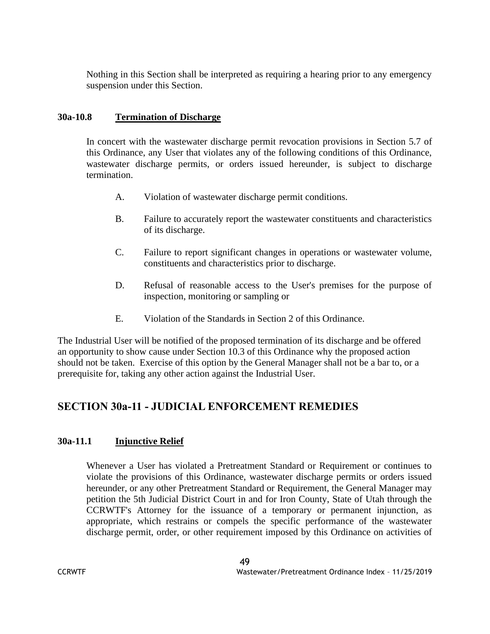Nothing in this Section shall be interpreted as requiring a hearing prior to any emergency suspension under this Section.

# **30a-10.8 Termination of Discharge**

In concert with the wastewater discharge permit revocation provisions in Section 5.7 of this Ordinance, any User that violates any of the following conditions of this Ordinance, wastewater discharge permits, or orders issued hereunder, is subject to discharge termination.

- A. Violation of wastewater discharge permit conditions.
- B. Failure to accurately report the wastewater constituents and characteristics of its discharge.
- C. Failure to report significant changes in operations or wastewater volume, constituents and characteristics prior to discharge.
- D. Refusal of reasonable access to the User's premises for the purpose of inspection, monitoring or sampling or
- E. Violation of the Standards in Section 2 of this Ordinance.

The Industrial User will be notified of the proposed termination of its discharge and be offered an opportunity to show cause under Section 10.3 of this Ordinance why the proposed action should not be taken. Exercise of this option by the General Manager shall not be a bar to, or a prerequisite for, taking any other action against the Industrial User.

# **SECTION 30a-11 - JUDICIAL ENFORCEMENT REMEDIES**

# **30a-11.1 Injunctive Relief**

Whenever a User has violated a Pretreatment Standard or Requirement or continues to violate the provisions of this Ordinance, wastewater discharge permits or orders issued hereunder, or any other Pretreatment Standard or Requirement, the General Manager may petition the 5th Judicial District Court in and for Iron County, State of Utah through the CCRWTF's Attorney for the issuance of a temporary or permanent injunction, as appropriate, which restrains or compels the specific performance of the wastewater discharge permit, order, or other requirement imposed by this Ordinance on activities of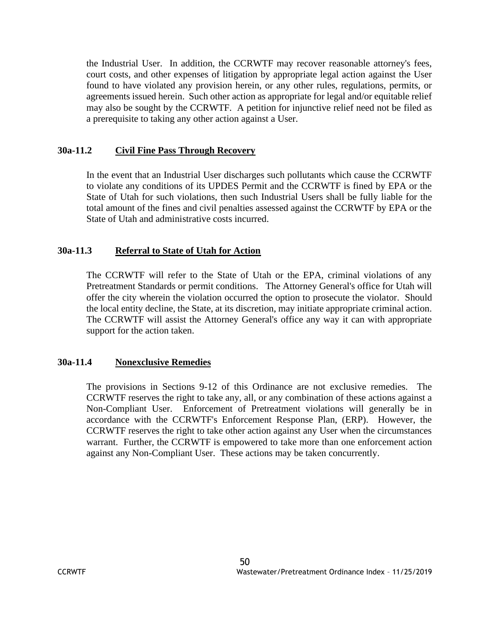the Industrial User. In addition, the CCRWTF may recover reasonable attorney's fees, court costs, and other expenses of litigation by appropriate legal action against the User found to have violated any provision herein, or any other rules, regulations, permits, or agreements issued herein. Such other action as appropriate for legal and/or equitable relief may also be sought by the CCRWTF. A petition for injunctive relief need not be filed as a prerequisite to taking any other action against a User.

# **30a-11.2 Civil Fine Pass Through Recovery**

In the event that an Industrial User discharges such pollutants which cause the CCRWTF to violate any conditions of its UPDES Permit and the CCRWTF is fined by EPA or the State of Utah for such violations, then such Industrial Users shall be fully liable for the total amount of the fines and civil penalties assessed against the CCRWTF by EPA or the State of Utah and administrative costs incurred.

#### **30a-11.3 Referral to State of Utah for Action**

The CCRWTF will refer to the State of Utah or the EPA, criminal violations of any Pretreatment Standards or permit conditions. The Attorney General's office for Utah will offer the city wherein the violation occurred the option to prosecute the violator. Should the local entity decline, the State, at its discretion, may initiate appropriate criminal action. The CCRWTF will assist the Attorney General's office any way it can with appropriate support for the action taken.

#### **30a-11.4 Nonexclusive Remedies**

The provisions in Sections 9-12 of this Ordinance are not exclusive remedies. The CCRWTF reserves the right to take any, all, or any combination of these actions against a Non-Compliant User. Enforcement of Pretreatment violations will generally be in accordance with the CCRWTF's Enforcement Response Plan, (ERP). However, the CCRWTF reserves the right to take other action against any User when the circumstances warrant. Further, the CCRWTF is empowered to take more than one enforcement action against any Non-Compliant User. These actions may be taken concurrently.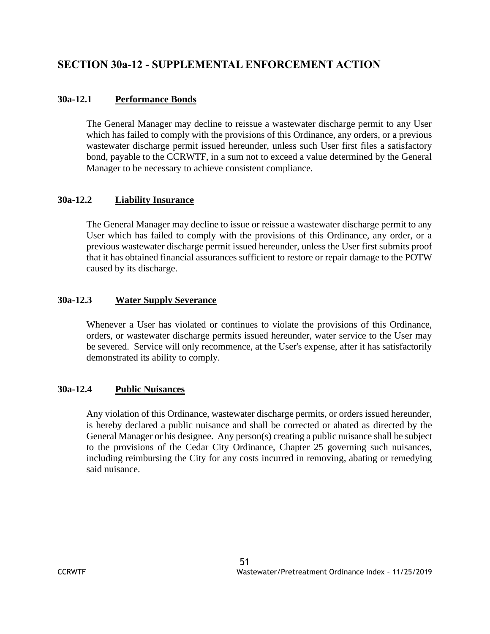# **SECTION 30a-12 - SUPPLEMENTAL ENFORCEMENT ACTION**

# **30a-12.1 Performance Bonds**

The General Manager may decline to reissue a wastewater discharge permit to any User which has failed to comply with the provisions of this Ordinance, any orders, or a previous wastewater discharge permit issued hereunder, unless such User first files a satisfactory bond, payable to the CCRWTF, in a sum not to exceed a value determined by the General Manager to be necessary to achieve consistent compliance.

# **30a-12.2 Liability Insurance**

The General Manager may decline to issue or reissue a wastewater discharge permit to any User which has failed to comply with the provisions of this Ordinance, any order, or a previous wastewater discharge permit issued hereunder, unless the User first submits proof that it has obtained financial assurances sufficient to restore or repair damage to the POTW caused by its discharge.

# **30a-12.3 Water Supply Severance**

Whenever a User has violated or continues to violate the provisions of this Ordinance, orders, or wastewater discharge permits issued hereunder, water service to the User may be severed. Service will only recommence, at the User's expense, after it has satisfactorily demonstrated its ability to comply.

# **30a-12.4 Public Nuisances**

Any violation of this Ordinance, wastewater discharge permits, or orders issued hereunder, is hereby declared a public nuisance and shall be corrected or abated as directed by the General Manager or his designee. Any person(s) creating a public nuisance shall be subject to the provisions of the Cedar City Ordinance, Chapter 25 governing such nuisances, including reimbursing the City for any costs incurred in removing, abating or remedying said nuisance.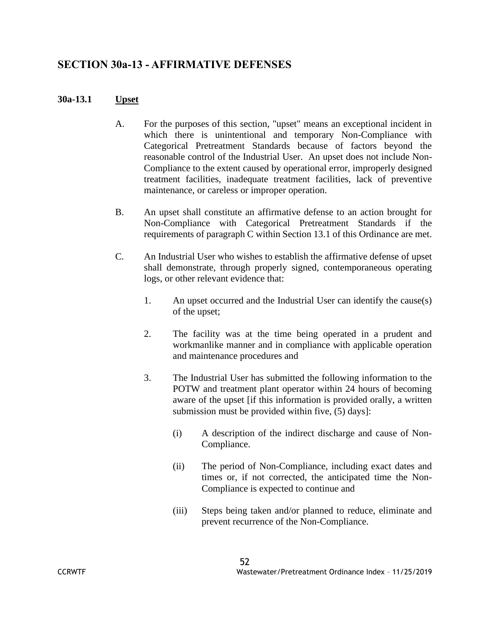# **SECTION 30a-13 - AFFIRMATIVE DEFENSES**

#### **30a-13.1 Upset**

- A. For the purposes of this section, "upset" means an exceptional incident in which there is unintentional and temporary Non-Compliance with Categorical Pretreatment Standards because of factors beyond the reasonable control of the Industrial User. An upset does not include Non-Compliance to the extent caused by operational error, improperly designed treatment facilities, inadequate treatment facilities, lack of preventive maintenance, or careless or improper operation.
- B. An upset shall constitute an affirmative defense to an action brought for Non-Compliance with Categorical Pretreatment Standards if the requirements of paragraph C within Section 13.1 of this Ordinance are met.
- C. An Industrial User who wishes to establish the affirmative defense of upset shall demonstrate, through properly signed, contemporaneous operating logs, or other relevant evidence that:
	- 1. An upset occurred and the Industrial User can identify the cause(s) of the upset;
	- 2. The facility was at the time being operated in a prudent and workmanlike manner and in compliance with applicable operation and maintenance procedures and
	- 3. The Industrial User has submitted the following information to the POTW and treatment plant operator within 24 hours of becoming aware of the upset [if this information is provided orally, a written submission must be provided within five, (5) days]:
		- (i) A description of the indirect discharge and cause of Non-Compliance.
		- (ii) The period of Non-Compliance, including exact dates and times or, if not corrected, the anticipated time the Non-Compliance is expected to continue and
		- (iii) Steps being taken and/or planned to reduce, eliminate and prevent recurrence of the Non-Compliance.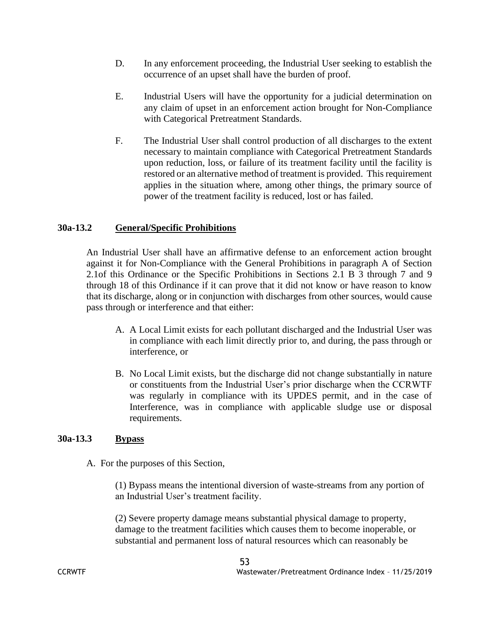- D. In any enforcement proceeding, the Industrial User seeking to establish the occurrence of an upset shall have the burden of proof.
- E. Industrial Users will have the opportunity for a judicial determination on any claim of upset in an enforcement action brought for Non-Compliance with Categorical Pretreatment Standards.
- F. The Industrial User shall control production of all discharges to the extent necessary to maintain compliance with Categorical Pretreatment Standards upon reduction, loss, or failure of its treatment facility until the facility is restored or an alternative method of treatment is provided. This requirement applies in the situation where, among other things, the primary source of power of the treatment facility is reduced, lost or has failed.

#### **30a-13.2 General/Specific Prohibitions**

An Industrial User shall have an affirmative defense to an enforcement action brought against it for Non-Compliance with the General Prohibitions in paragraph A of Section 2.1of this Ordinance or the Specific Prohibitions in Sections 2.1 B 3 through 7 and 9 through 18 of this Ordinance if it can prove that it did not know or have reason to know that its discharge, along or in conjunction with discharges from other sources, would cause pass through or interference and that either:

- A. A Local Limit exists for each pollutant discharged and the Industrial User was in compliance with each limit directly prior to, and during, the pass through or interference, or
- B. No Local Limit exists, but the discharge did not change substantially in nature or constituents from the Industrial User's prior discharge when the CCRWTF was regularly in compliance with its UPDES permit, and in the case of Interference, was in compliance with applicable sludge use or disposal requirements.

#### **30a-13.3 Bypass**

A. For the purposes of this Section,

(1) Bypass means the intentional diversion of waste-streams from any portion of an Industrial User's treatment facility.

(2) Severe property damage means substantial physical damage to property, damage to the treatment facilities which causes them to become inoperable, or substantial and permanent loss of natural resources which can reasonably be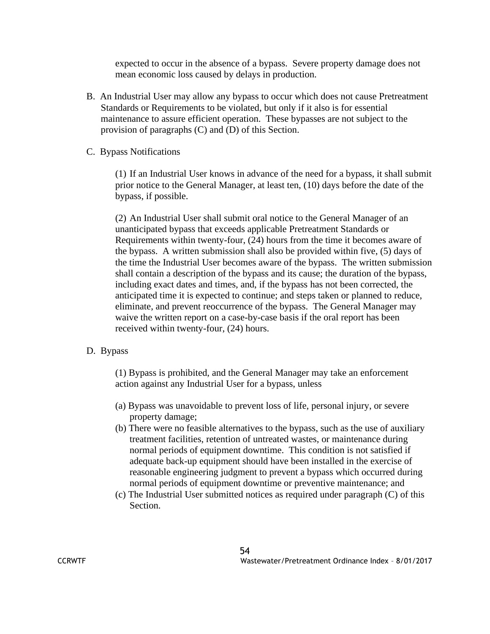expected to occur in the absence of a bypass. Severe property damage does not mean economic loss caused by delays in production.

- B. An Industrial User may allow any bypass to occur which does not cause Pretreatment Standards or Requirements to be violated, but only if it also is for essential maintenance to assure efficient operation. These bypasses are not subject to the provision of paragraphs (C) and (D) of this Section.
- C. Bypass Notifications

(1) If an Industrial User knows in advance of the need for a bypass, it shall submit prior notice to the General Manager, at least ten, (10) days before the date of the bypass, if possible.

(2) An Industrial User shall submit oral notice to the General Manager of an unanticipated bypass that exceeds applicable Pretreatment Standards or Requirements within twenty-four, (24) hours from the time it becomes aware of the bypass. A written submission shall also be provided within five, (5) days of the time the Industrial User becomes aware of the bypass. The written submission shall contain a description of the bypass and its cause; the duration of the bypass, including exact dates and times, and, if the bypass has not been corrected, the anticipated time it is expected to continue; and steps taken or planned to reduce, eliminate, and prevent reoccurrence of the bypass. The General Manager may waive the written report on a case-by-case basis if the oral report has been received within twenty-four, (24) hours.

# D. Bypass

(1) Bypass is prohibited, and the General Manager may take an enforcement action against any Industrial User for a bypass, unless

- (a) Bypass was unavoidable to prevent loss of life, personal injury, or severe property damage;
- (b) There were no feasible alternatives to the bypass, such as the use of auxiliary treatment facilities, retention of untreated wastes, or maintenance during normal periods of equipment downtime. This condition is not satisfied if adequate back-up equipment should have been installed in the exercise of reasonable engineering judgment to prevent a bypass which occurred during normal periods of equipment downtime or preventive maintenance; and
- (c) The Industrial User submitted notices as required under paragraph (C) of this Section.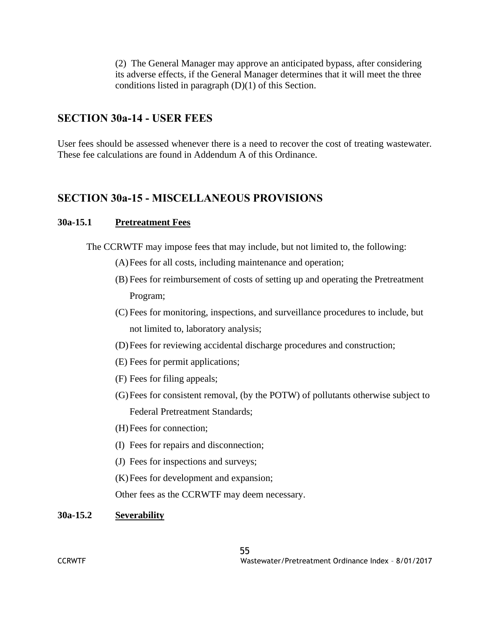(2) The General Manager may approve an anticipated bypass, after considering its adverse effects, if the General Manager determines that it will meet the three conditions listed in paragraph  $(D)(1)$  of this Section.

# **SECTION 30a-14 - USER FEES**

User fees should be assessed whenever there is a need to recover the cost of treating wastewater. These fee calculations are found in Addendum A of this Ordinance.

# **SECTION 30a-15 - MISCELLANEOUS PROVISIONS**

#### **30a-15.1 Pretreatment Fees**

The CCRWTF may impose fees that may include, but not limited to, the following:

- (A)Fees for all costs, including maintenance and operation;
- (B) Fees for reimbursement of costs of setting up and operating the Pretreatment Program;
- (C) Fees for monitoring, inspections, and surveillance procedures to include, but not limited to, laboratory analysis;
- (D)Fees for reviewing accidental discharge procedures and construction;
- (E) Fees for permit applications;
- (F) Fees for filing appeals;
- (G)Fees for consistent removal, (by the POTW) of pollutants otherwise subject to Federal Pretreatment Standards;
- (H)Fees for connection;
- (I) Fees for repairs and disconnection;
- (J) Fees for inspections and surveys;
- (K)Fees for development and expansion;

Other fees as the CCRWTF may deem necessary.

#### **30a-15.2 Severability**